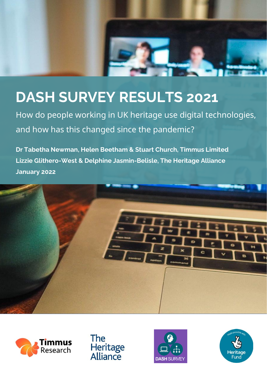

# **DASH SURVEY RESULTS 2021**

How do people working in UK heritage use digital technologies, and how has this changed since the pandemic?

**Dr Tabetha Newman, Helen Beetham & Stuart Church, Timmus Limited Lizzie Glithero-West & Delphine Jasmin-Belisle, The Heritage Alliance January 2022**









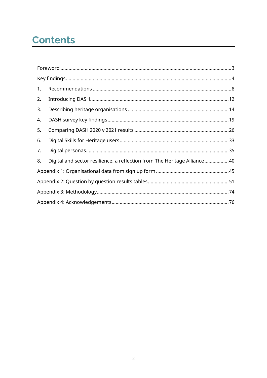# **Contents**

| 1. |                                                                          |  |  |
|----|--------------------------------------------------------------------------|--|--|
| 2. |                                                                          |  |  |
| 3. |                                                                          |  |  |
| 4. |                                                                          |  |  |
| 5. |                                                                          |  |  |
| 6. |                                                                          |  |  |
| 7. |                                                                          |  |  |
| 8. | Digital and sector resilience: a reflection from The Heritage Alliance40 |  |  |
|    |                                                                          |  |  |
|    |                                                                          |  |  |
|    |                                                                          |  |  |
|    |                                                                          |  |  |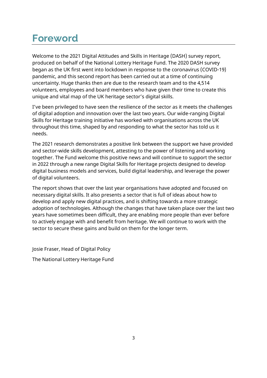# <span id="page-2-0"></span>**Foreword**

Welcome to the 2021 Digital Attitudes and Skills in Heritage (DASH) survey report, produced on behalf of the National Lottery Heritage Fund. The 2020 DASH survey began as the UK first went into lockdown in response to the coronavirus (COVID-19) pandemic, and this second report has been carried out at a time of continuing uncertainty. Huge thanks then are due to the research team and to the 4,514 volunteers, employees and board members who have given their time to create this unique and vital map of the UK heritage sector's digital skills.

I've been privileged to have seen the resilience of the sector as it meets the challenges of digital adoption and innovation over the last two years. Our wide-ranging Digital Skills for Heritage training initiative has worked with organisations across the UK throughout this time, shaped by and responding to what the sector has told us it needs.

The 2021 research demonstrates a positive link between the support we have provided and sector-wide skills development, attesting to the power of listening and working together. The Fund welcome this positive news and will continue to support the sector in 2022 through a new range Digital Skills for Heritage projects designed to develop digital business models and services, build digital leadership, and leverage the power of digital volunteers.

The report shows that over the last year organisations have adopted and focused on necessary digital skills. It also presents a sector that is full of ideas about how to develop and apply new digital practices, and is shifting towards a more strategic adoption of technologies. Although the changes that have taken place over the last two years have sometimes been difficult, they are enabling more people than ever before to actively engage with and benefit from heritage. We will continue to work with the sector to secure these gains and build on them for the longer term.

Josie Fraser, Head of Digital Policy

The National Lottery Heritage Fund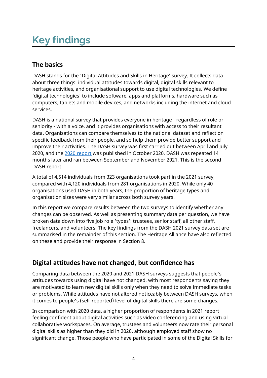# <span id="page-3-0"></span>**Key findings**

# **The basics**

DASH stands for the 'Digital Attitudes and Skills in Heritage' survey. It collects data about three things: individual attitudes towards digital, digital skills relevant to heritage activities, and organisational support to use digital technologies. We define 'digital technologies' to include software, apps and platforms, hardware such as computers, tablets and mobile devices, and networks including the internet and cloud services.

DASH is a national survey that provides everyone in heritage - regardless of role or seniority - with a voice, and it provides organisations with access to their resultant data. Organisations can compare themselves to the national dataset and reflect on specific feedback from their people, and so help them provide better support and improve their activities. The DASH survey was first carried out between April and July 2020, and the [2020 report](https://www.heritagefund.org.uk/about/insight/research/dash-report-learning-first-uk-wide-digital-heritage-survey) was published in October 2020. DASH was repeated 14 months later and ran between September and November 2021. This is the second DASH report.

A total of 4,514 individuals from 323 organisations took part in the 2021 survey, compared with 4,120 individuals from 281 organisations in 2020. While only 40 organisations used DASH in both years, the proportion of heritage types and organisation sizes were very similar across both survey years.

In this report we compare results between the two surveys to identify whether any changes can be observed. As well as presenting summary data per question, we have broken data down into five job role 'types': trustees, senior staff, all other staff, freelancers, and volunteers. The key findings from the DASH 2021 survey data set are summarised in the remainder of this section. The Heritage Alliance have also reflected on these and provide their response in Section 8.

# **Digital attitudes have not changed, but confidence has**

Comparing data between the 2020 and 2021 DASH surveys suggests that people's attitudes towards using digital have not changed, with most respondents saying they are motivated to learn new digital skills only when they need to solve immediate tasks or problems. While attitudes have not altered noticeably between DASH surveys, when it comes to people's (self-reported) level of digital skills there are some changes.

In comparison with 2020 data, a higher proportion of respondents in 2021 report feeling confident about digital activities such as video conferencing and using virtual collaborative workspaces. On average, trustees and volunteers now rate their personal digital skills as higher than they did in 2020, although employed staff show no significant change. Those people who have participated in some of the Digital Skills for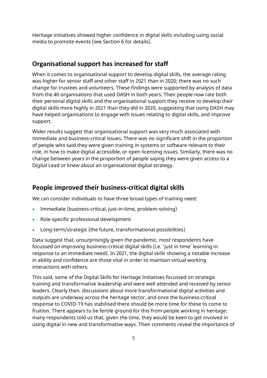Heritage initiatives showed higher confidence in digital skills including using social media to promote events (see Section 6 for details).

### **Organisational support has increased for staff**

When it comes to organisational support to develop digital skills, the average rating was higher for senior staff and other staff in 2021 than in 2020; there was no such change for trustees and volunteers. These findings were supported by analysis of data from the 40 organisations that used DASH in both years. Their people now rate both their personal digital skills and the organisational support they receive to develop their digital skills more highly in 2021 than they did in 2020, suggesting that using DASH may have helped organisations to engage with issues relating to digital skills, and improve support.

Wider results suggest that organisational support was very much associated with immediate and business-critical issues. There was no significant shift in the proportion of people who said they were given training in systems or software relevant to their role, in how to make digital accessible, or open licensing issues. Similarly, there was no change between years in the proportion of people saying they were given access to a Digital Lead or knew about an organisational digital strategy.

### **People improved their business-critical digital skills**

We can consider individuals to have three broad types of training need:

- Immediate (business-critical, just-in-time, problem-solving)
- Role-specific professional development
- Long-term/strategic (the future, transformational possibilities)

Data suggest that, unsurprisingly given the pandemic, most respondents have focussed on improving business-critical digital skills (i.e. 'just in time' learning in response to an immediate need). In 2021, the digital skills showing a notable increase in ability and confidence are those vital in order to maintain virtual working interactions with others.

This said, some of the Digital Skills for Heritage Initiatives focussed on strategic training and transformative leadership and were well attended and received by senior leaders. Clearly then, discussions about more transformational digital activities and outputs are underway across the heritage sector, and once the business-critical response to COVID-19 has stabilised there should be more time for these to come to fruition. There appears to be fertile ground for this from people working in heritage: many respondents told us that, given the time, they would be keen to get involved in using digital in new and transformative ways. Their comments reveal the importance of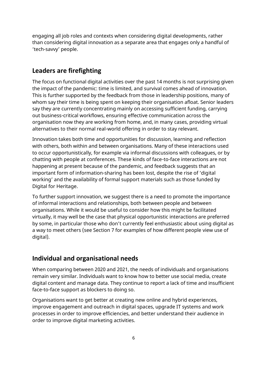engaging all job roles and contexts when considering digital developments, rather than considering digital innovation as a separate area that engages only a handful of 'tech-savvy' people.

### **Leaders are firefighting**

The focus on functional digital activities over the past 14 months is not surprising given the impact of the pandemic: time is limited, and survival comes ahead of innovation. This is further supported by the feedback from those in leadership positions, many of whom say their time is being spent on keeping their organisation afloat. Senior leaders say they are currently concentrating mainly on accessing sufficient funding, carrying out business-critical workflows, ensuring effective communication across the organisation now they are working from home, and, in many cases, providing virtual alternatives to their normal real-world offering in order to stay relevant.

Innovation takes both time and opportunities for discussion, learning and reflection with others, both within and between organisations. Many of these interactions used to occur opportunistically, for example via informal discussions with colleagues, or by chatting with people at conferences. These kinds of face-to-face interactions are not happening at present because of the pandemic, and feedback suggests that an important form of information-sharing has been lost, despite the rise of 'digital working' and the availability of formal support materials such as those funded by Digital for Heritage.

To further support innovation, we suggest there is a need to promote the importance of informal interactions and relationships, both between people and between organisations. While it would be useful to consider how this might be facilitated virtually, it may well be the case that physical opportunistic interactions are preferred by some, in particular those who don't currently feel enthusiastic about using digital as a way to meet others (see Section 7 for examples of how different people view use of digital).

### **Individual and organisational needs**

When comparing between 2020 and 2021, the needs of individuals and organisations remain very similar. Individuals want to know how to better use social media, create digital content and manage data. They continue to report a lack of time and insufficient face-to-face support as blockers to doing so.

Organisations want to get better at creating new online and hybrid experiences, improve engagement and outreach in digital spaces, upgrade IT systems and work processes in order to improve efficiencies, and better understand their audience in order to improve digital marketing activities.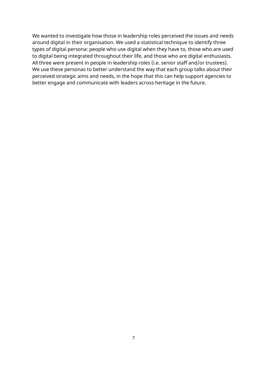We wanted to investigate how those in leadership roles perceived the issues and needs around digital in their organisation. We used a statistical technique to identify three types of digital persona: people who use digital when they have to, those who are used to digital being integrated throughout their life, and those who are digital enthusiasts. All three were present in people in leadership roles (i.e. senior staff and/or trustees). We use these personas to better understand the way that each group talks about their perceived strategic aims and needs, in the hope that this can help support agencies to better engage and communicate with leaders across heritage in the future.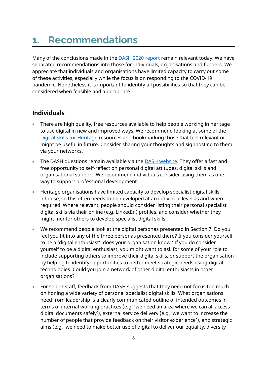# <span id="page-7-0"></span>**1. Recommendations**

Many of the conclusions made in the [DASH 2020](https://www.heritagefund.org.uk/about/insight/research/dash-report-learning-first-uk-wide-digital-heritage-survey) report remain relevant today. We have separated recommendations into those for individuals, organisations and funders. We appreciate that individuals and organisations have limited capacity to carry out some of these activities, especially while the focus is on responding to the COVID-19 pandemic. Nonetheless it is important to identify all possibilities so that they can be considered when feasible and appropriate.

### **Individuals**

- There are high quality, free resources available to help people working in heritage to use digital in new and improved ways. We recommend looking at some of the [Digital Skills for Heritage](https://www.heritagefund.org.uk/our-work/digital-skills-heritage) resources and bookmarking those that feel relevant or might be useful in future. Consider sharing your thoughts and signposting to them via your networks.
- The DASH questions remain available via the **DASH website**. They offer a fast and free opportunity to self-reflect on personal digital attitudes, digital skills and organisational support. We recommend individuals consider using them as one way to support professional development.
- Heritage organisations have limited capacity to develop specialist digital skills inhouse, so this often needs to be developed at an individual level as and when required. Where relevant, people should consider listing their personal specialist digital skills via their online (e.g. LinkedIn) profiles, and consider whether they might mentor others to develop specialist digital skills.
- We recommend people look at the digital personas presented in Section 7. Do you feel you fit into any of the three personas presented there? If you consider yourself to be a 'digital enthusiast', does your organisation know? If you do consider yourself to be a digital enthusiast, you might want to ask for some of your role to include supporting others to improve their digital skills, or support the organisation by helping to identify opportunities to better meet strategic needs using digital technologies. Could you join a network of other digital enthusiasts in other organisations?
- For senior staff, feedback from DASH suggests that they need not focus too much on honing a wide variety of personal specialist digital skills. What organisations need from leadership is a clearly communicated outline of intended outcomes in terms of internal working practices (e.g. 'we need an area where we can all access digital documents safely'), external service delivery (e.g. 'we want to increase the number of people that provide feedback on their visitor experience'), and strategic aims (e.g. 'we need to make better use of digital to deliver our equality, diversity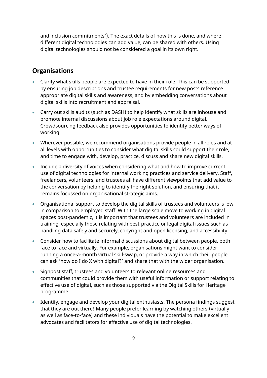and inclusion commitments'). The exact details of how this is done, and where different digital technologies can add value, can be shared with others. Using digital technologies should not be considered a goal in its own right.

### **Organisations**

- Clarify what skills people are expected to have in their role. This can be supported by ensuring job descriptions and trustee requirements for new posts reference appropriate digital skills and awareness, and by embedding conversations about digital skills into recruitment and appraisal.
- Carry out skills audits (such as DASH) to help identify what skills are inhouse and promote internal discussions about job role expectations around digital. Crowdsourcing feedback also provides opportunities to identify better ways of working.
- Wherever possible, we recommend organisations provide people in all roles and at all levels with opportunities to consider what digital skills could support their role, and time to engage with, develop, practice, discuss and share new digital skills.
- Include a diversity of voices when considering what and how to improve current use of digital technologies for internal working practices and service delivery. Staff, freelancers, volunteers, and trustees all have different viewpoints that add value to the conversation by helping to identify the right solution, and ensuring that it remains focussed on organisational strategic aims.
- Organisational support to develop the digital skills of trustees and volunteers is low in comparison to employed staff. With the large scale move to working in digital spaces post-pandemic, it is important that trustees and volunteers are included in training, especially those relating with best-practice or legal digital issues such as handling data safely and securely, copyright and open licensing, and accessibility.
- Consider how to facilitate informal discussions about digital between people, both face to face and virtually. For example, organisations might want to consider running a once-a-month virtual skill-swap, or provide a way in which their people can ask 'how do I do X with digital?' and share that with the wider organisation.
- Signpost staff, trustees and volunteers to relevant online resources and communities that could provide them with useful information or support relating to effective use of digital, such as those supported via the Digital Skills for Heritage programme.
- Identify, engage and develop your digital enthusiasts. The persona findings suggest that they are out there! Many people prefer learning by watching others (virtually as well as face-to-face) and these individuals have the potential to make excellent advocates and facilitators for effective use of digital technologies.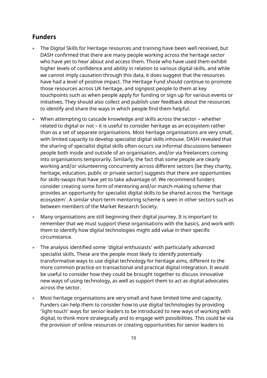### **Funders**

- The Digital Skills for Heritage resources and training have been well received, but DASH confirmed that there are many people working across the heritage sector who have yet to hear about and access them. Those who have used them exhibit higher levels of confidence and ability in relation to various digital skills, and while we cannot imply causation through this data, it does suggest that the resources have had a level of positive impact. The Heritage Fund should continue to promote those resources across UK heritage, and signpost people to them at key touchpoints such as when people apply for funding or sign up for various events or initiatives. They should also collect and publish user feedback about the resources to identify and share the ways in which people find them helpful.
- When attempting to cascade knowledge and skills across the sector whether related to digital or not – it is useful to consider heritage as an ecosystem rather than as a set of separate organisations. Most heritage organisations are very small, with limited capacity to develop specialist digital skills inhouse. DASH revealed that the sharing of specialist digital skills often occurs via informal discussions between people both inside and outside of an organisation, and/or via freelancers coming into organisations temporarily. Similarly, the fact that some people are clearly working and/or volunteering concurrently across different sectors (be they charity, heritage, education, public or private sector) suggests that there are opportunities for skills-swaps that have yet to take advantage of. We recommend funders consider creating some form of mentoring and/or match-making scheme that provides an opportunity for specialist digital skills to be shared across the 'heritage ecosystem'. A similar short-term mentoring scheme is seen in other sectors such as between members of the Market Research Society.
- Many organisations are still beginning their digital journey. It is important to remember that we must support these organisations with the basics, and work with them to identify how digital technologies might add value in their specific circumstance.
- The analysis identified some 'digital enthusiasts' with particularly advanced specialist skills. These are the people most likely to identify potentially transformative ways to use digital technology for heritage aims, different to the more common practice on transactional and practical digital integration. It would be useful to consider how they could be brought together to discuss innovative new ways of using technology, as well as support them to act as digital advocates across the sector.
- Most heritage organisations are very small and have limited time and capacity. Funders can help them to consider how to use digital technologies by providing 'light-touch' ways for senior leaders to be introduced to new ways of working with digital, to think more strategically and to engage with possibilities. This could be via the provision of online resources or creating opportunities for senior leaders to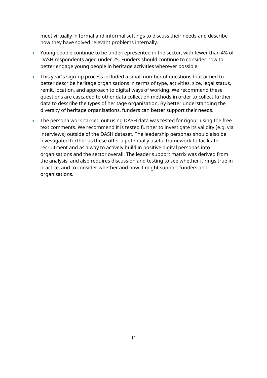meet virtually in formal and informal settings to discuss their needs and describe how they have solved relevant problems internally.

- Young people continue to be underrepresented in the sector, with fewer than 4% of DASH respondents aged under 25. Funders should continue to consider how to better engage young people in heritage activities wherever possible.
- This year's sign-up process included a small number of questions that aimed to better describe heritage organisations in terms of type, activities, size, legal status, remit, location, and approach to digital ways of working. We recommend these questions are cascaded to other data collection methods in order to collect further data to describe the types of heritage organisation. By better understanding the diversity of heritage organisations, funders can better support their needs.
- The persona work carried out using DASH data was tested for rigour using the free text comments. We recommend it is tested further to investigate its validity (e.g. via interviews) outside of the DASH dataset. The leadership personas should also be investigated further as these offer a potentially useful framework to facilitate recruitment and as a way to actively build in positive digital personas into organisations and the sector overall. The leader support matrix was derived from the analysis, and also requires discussion and testing to see whether it rings true in practice, and to consider whether and how it might support funders and organisations.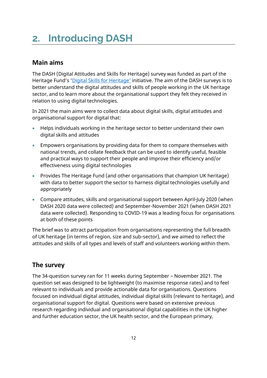# <span id="page-11-0"></span>**2. Introducing DASH**

### **Main aims**

The DASH (Digital Attitudes and Skills for Heritage) survey was funded as part of the Heritage Fund's ['Digital Skills for Heritage'](https://www.heritagefund.org.uk/our-work/digital-skills-heritage) initiative. The aim of the DASH surveys is to better understand the digital attitudes and skills of people working in the UK heritage sector, and to learn more about the organisational support they felt they received in relation to using digital technologies.

In 2021 the main aims were to collect data about digital skills, digital attitudes and organisational support for digital that:

- Helps individuals working in the heritage sector to better understand their own digital skills and attitudes
- Empowers organisations by providing data for them to compare themselves with national trends, and collate feedback that can be used to identify useful, feasible and practical ways to support their people and improve their efficiency and/or effectiveness using digital technologies
- Provides The Heritage Fund (and other organisations that champion UK heritage) with data to better support the sector to harness digital technologies usefully and appropriately
- Compare attitudes, skills and organisational support between April-July 2020 (when DASH 2020 data were collected) and September-November 2021 (when DASH 2021 data were collected). Responding to COVID-19 was a leading focus for organisations at both of these points

The brief was to attract participation from organisations representing the full breadth of UK heritage (in terms of region, size and sub-sector), and we aimed to reflect the attitudes and skills of all types and levels of staff and volunteers working within them.

### **The survey**

The 34-question survey ran for 11 weeks during September – November 2021. The question set was designed to be lightweight (to maximise response rates) and to feel relevant to individuals and provide actionable data for organisations. Questions focused on individual digital attitudes, individual digital skills (relevant to heritage), and organisational support for digital. Questions were based on extensive previous research regarding individual and organisational digital capabilities in the UK higher and further education sector, the UK health sector, and the European primary,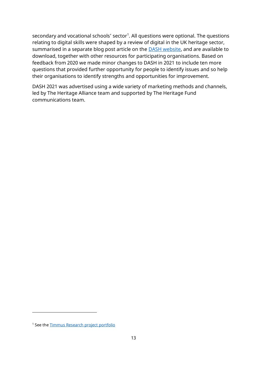secondary and vocational schools' sector<sup>1</sup>. All questions were optional. The questions relating to digital skills were shaped by a review of digital in the UK heritage sector, summarised in a separate blog post article on the **DASH** website, and are available to download, together with other resources for participating organisations. Based on feedback from 2020 we made minor changes to DASH in 2021 to include ten more questions that provided further opportunity for people to identify issues and so help their organisations to identify strengths and opportunities for improvement.

DASH 2021 was advertised using a wide variety of marketing methods and channels, led by The Heritage Alliance team and supported by The Heritage Fund communications team.

<sup>&</sup>lt;sup>1</sup> See the **Timmus Research project portfolio**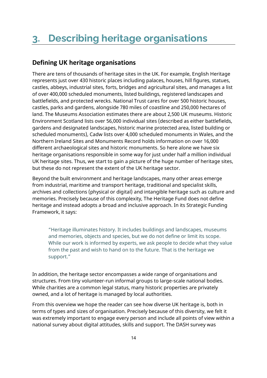### <span id="page-13-0"></span>**Defining UK heritage organisations**

There are tens of thousands of heritage sites in the UK. For example, English Heritage represents just over 430 historic places including palaces, houses, hill figures, statues, castles, abbeys, industrial sites, forts, bridges and agricultural sites, and manages a list of over 400,000 scheduled monuments, listed buildings, registered landscapes and battlefields, and protected wrecks. National Trust cares for over 500 historic houses, castles, parks and gardens, alongside 780 miles of coastline and 250,000 hectares of land. The Museums Association estimates there are about 2,500 UK museums. Historic Environment Scotland lists over 56,000 individual sites (described as either battlefields, gardens and designated landscapes, historic marine protected area, listed building or scheduled monuments), Cadw lists over 4,000 scheduled monuments in Wales, and the Northern Ireland Sites and Monuments Record holds information on over 16,000 different archaeological sites and historic monuments. So here alone we have six heritage organisations responsible in some way for just under half a million individual UK heritage sites. Thus, we start to gain a picture of the huge number of heritage sites, but these do not represent the extent of the UK heritage sector.

Beyond the built environment and heritage landscapes, many other areas emerge from industrial, maritime and transport heritage, traditional and specialist skills, archives and collections (physical or digital) and intangible heritage such as culture and memories. Precisely because of this complexity, The Heritage Fund does not define heritage and instead adopts a broad and inclusive approach. In its Strategic Funding Framework, it says:

"Heritage illuminates history. It includes buildings and landscapes, museums and memories, objects and species, but we do not define or limit its scope. While our work is informed by experts, we ask people to decide what they value from the past and wish to hand on to the future. That is the heritage we support."

In addition, the heritage sector encompasses a wide range of organisations and structures. From tiny volunteer-run informal groups to large-scale national bodies. While charities are a common legal status, many historic properties are privately owned, and a lot of heritage is managed by local authorities.

From this overview we hope the reader can see how diverse UK heritage is, both in terms of types and sizes of organisation. Precisely because of this diversity, we felt it was extremely important to engage every person and include all points of view within a national survey about digital attitudes, skills and support. The DASH survey was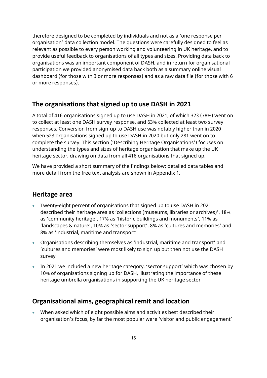therefore designed to be completed by individuals and not as a 'one response per organisation' data collection model. The questions were carefully designed to feel as relevant as possible to every person working and volunteering in UK heritage, and to provide useful feedback to organisations of all types and sizes. Providing data back to organisations was an important component of DASH, and in return for organisational participation we provided anonymised data back both as a summary online visual dashboard (for those with 3 or more responses) and as a raw data file (for those with 6 or more responses).

### **The organisations that signed up to use DASH in 2021**

A total of 416 organisations signed up to use DASH in 2021, of which 323 (78%) went on to collect at least one DASH survey response, and 63% collected at least two survey responses. Conversion from sign-up to DASH use was notably higher than in 2020 when 523 organisations signed up to use DASH in 2020 but only 281 went on to complete the survey. This section ('Describing Heritage Organisations') focuses on understanding the types and sizes of heritage organisation that make up the UK heritage sector, drawing on data from all 416 organisations that signed up.

We have provided a short summary of the findings below; detailed data tables and more detail from the free text analysis are shown in Appendix 1.

### **Heritage area**

- Twenty-eight percent of organisations that signed up to use DASH in 2021 described their heritage area as 'collections (museums, libraries or archives)', 18% as 'community heritage', 17% as 'historic buildings and monuments', 11% as 'landscapes & nature', 10% as 'sector support', 8% as 'cultures and memories' and 8% as 'industrial, maritime and transport'
- Organisations describing themselves as 'industrial, maritime and transport' and 'cultures and memories' were most likely to sign up but then not use the DASH survey
- In 2021 we included a new heritage category, 'sector support' which was chosen by 10% of organisations signing up for DASH, illustrating the importance of these heritage umbrella organisations in supporting the UK heritage sector

### **Organisational aims, geographical remit and location**

• When asked which of eight possible aims and activities best described their organisation's focus, by far the most popular were 'visitor and public engagement'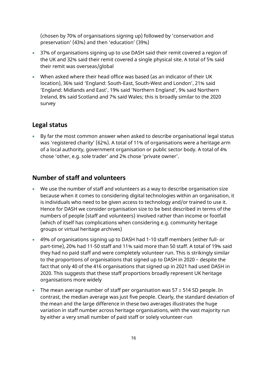(chosen by 70% of organisations signing up) followed by 'conservation and preservation' (43%) and then 'education' (39%)

- 37% of organisations signing up to use DASH said their remit covered a region of the UK and 32% said their remit covered a single physical site. A total of 5% said their remit was overseas/global
- When asked where their head office was based (as an indicator of their UK location), 36% said 'England: South-East, South-West and London', 21% said 'England: Midlands and East', 19% said 'Northern England', 9% said Northern Ireland, 8% said Scotland and 7% said Wales; this is broadly similar to the 2020 survey

### **Legal status**

• By far the most common answer when asked to describe organisational legal status was 'registered charity' (62%). A total of 11% of organisations were a heritage arm of a local authority, government organisation or public sector body. A total of 4% chose 'other, e.g. sole trader' and 2% chose 'private owner'.

### **Number of staff and volunteers**

- We use the number of staff and volunteers as a way to describe organisation size because when it comes to considering digital technologies within an organisation, it is individuals who need to be given access to technology and/or trained to use it. Hence for DASH we consider organisation size to be best described in terms of the numbers of people (staff and volunteers) involved rather than income or footfall (which of itself has complications when considering e.g. community heritage groups or virtual heritage archives)
- 49% of organisations signing up to DASH had 1-10 staff members (either full- or part-time), 20% had 11-50 staff and 11% said more than 50 staff. A total of 19% said they had no paid staff and were completely volunteer run. This is strikingly similar to the proportions of organisations that signed up to DASH in 2020 – despite the fact that only 40 of the 416 organisations that signed up in 2021 had used DASH in 2020. This suggests that these staff proportions broadly represent UK heritage organisations more widely
- The mean average number of staff per organisation was  $57 \pm 514$  SD people. In contrast, the median average was just five people. Clearly, the standard deviation of the mean and the large difference in these two averages illustrates the huge variation in staff number across heritage organisations, with the vast majority run by either a very small number of paid staff or solely volunteer-run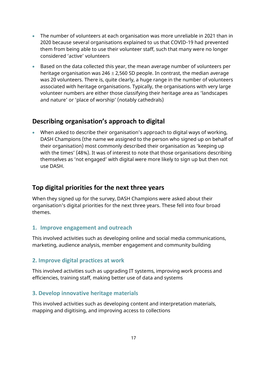- The number of volunteers at each organisation was more unreliable in 2021 than in 2020 because several organisations explained to us that COVID-19 had prevented them from being able to use their volunteer staff, such that many were no longer considered 'active' volunteers
- Based on the data collected this year, the mean average number of volunteers per heritage organisation was  $246 \pm 2,560$  SD people. In contrast, the median average was 20 volunteers. There is, quite clearly, a huge range in the number of volunteers associated with heritage organisations. Typically, the organisations with very large volunteer numbers are either those classifying their heritage area as 'landscapes and nature' or 'place of worship' (notably cathedrals)

### **Describing organisation's approach to digital**

• When asked to describe their organisation's approach to digital ways of working, DASH Champions (the name we assigned to the person who signed up on behalf of their organisation) most commonly described their organisation as 'keeping up with the times' (48%). It was of interest to note that those organisations describing themselves as 'not engaged' with digital were more likely to sign up but then not use DASH.

### **Top digital priorities for the next three years**

When they signed up for the survey, DASH Champions were asked about their organisation's digital priorities for the next three years. These fell into four broad themes.

### **1. Improve engagement and outreach**

This involved activities such as developing online and social media communications, marketing, audience analysis, member engagement and community building

### **2. Improve digital practices at work**

This involved activities such as upgrading IT systems, improving work process and efficiencies, training staff, making better use of data and systems

### **3. Develop innovative heritage materials**

This involved activities such as developing content and interpretation materials, mapping and digitising, and improving access to collections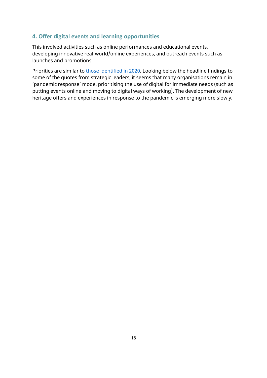#### **4. Offer digital events and learning opportunities**

This involved activities such as online performances and educational events, developing innovative real-world/online experiences, and outreach events such as launches and promotions

Priorities are similar to [those identified in 2020.](https://www.heritagefund.org.uk/blogs/digital-skills-heritage-receives-funding-boost) Looking below the headline findings to some of the quotes from strategic leaders, it seems that many organisations remain in 'pandemic response' mode, prioritising the use of digital for immediate needs (such as putting events online and moving to digital ways of working). The development of new heritage offers and experiences in response to the pandemic is emerging more slowly.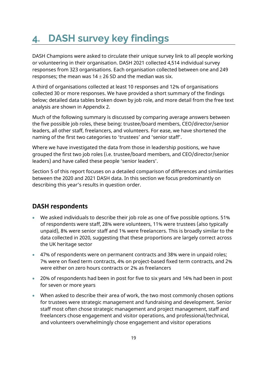# <span id="page-18-0"></span>**4. DASH survey key findings**

DASH Champions were asked to circulate their unique survey link to all people working or volunteering in their organisation. DASH 2021 collected 4,514 individual survey responses from 323 organisations. Each organisation collected between one and 249 responses; the mean was  $14 \pm 26$  SD and the median was six.

A third of organisations collected at least 10 responses and 12% of organisations collected 30 or more responses. We have provided a short summary of the findings below; detailed data tables broken down by job role, and more detail from the free text analysis are shown in Appendix 2.

Much of the following summary is discussed by comparing average answers between the five possible job roles, these being: trustee/board members, CEO/director/senior leaders, all other staff, freelancers, and volunteers. For ease, we have shortened the naming of the first two categories to 'trustees' and 'senior staff'.

Where we have investigated the data from those in leadership positions, we have grouped the first two job roles (i.e. trustee/board members, and CEO/director/senior leaders) and have called these people 'senior leaders'.

Section 5 of this report focuses on a detailed comparison of differences and similarities between the 2020 and 2021 DASH data. In this section we focus predominantly on describing this year's results in question order.

### **DASH respondents**

- We asked individuals to describe their job role as one of five possible options. 51% of respondents were staff, 28% were volunteers, 11% were trustees (also typically unpaid), 8% were senior staff and 1% were freelancers. This is broadly similar to the data collected in 2020, suggesting that these proportions are largely correct across the UK heritage sector
- 47% of respondents were on permanent contracts and 38% were in unpaid roles; 7% were on fixed term contracts, 4% on project-based fixed term contracts, and 2% were either on zero hours contracts or 2% as freelancers
- 20% of respondents had been in post for five to six years and 14% had been in post for seven or more years
- When asked to describe their area of work, the two most commonly chosen options for trustees were strategic management and fundraising and development. Senior staff most often chose strategic management and project management, staff and freelancers chose engagement and visitor operations, and professional/technical, and volunteers overwhelmingly chose engagement and visitor operations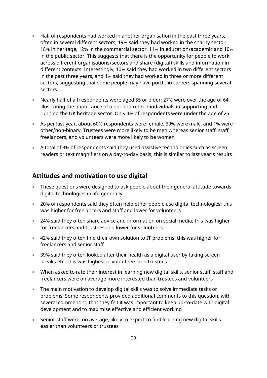- Half of respondents had worked in another organisation in the past three years, often in several different sectors; 19% said they had worked in the charity sector, 18% in heritage, 12% in the commercial sector, 11% in education/academic and 10% in the public sector. This suggests that there is the opportunity for people to work across different organisations/sectors and share (digital) skills and information in different contexts. Interestingly, 10% said they had worked in two different sectors in the past three years, and 4% said they had worked in three or more different sectors, suggesting that some people may have portfolio careers spanning several sectors
- Nearly half of all respondents were aged 55 or older; 27% were over the age of 64 illustrating the importance of older and retired individuals in supporting and running the UK heritage sector. Only 4% of respondents were under the age of 25
- As per last year, about 60% respondents were female, 39% were male, and 1% were other/non-binary. Trustees were more likely to be men whereas senior staff, staff, freelancers, and volunteers were more likely to be women
- A total of 3% of respondents said they used assistive technologies such as screen readers or text magnifiers on a day-to-day basis; this is similar to last year's results

### **Attitudes and motivation to use digital**

- These questions were designed to ask people about their general attitude towards digital technologies in life generally
- 20% of respondents said they often help other people use digital technologies; this was higher for freelancers and staff and lower for volunteers
- 24% said they often share advice and information on social media; this was higher for freelancers and trustees and lower for volunteers
- 42% said they often find their own solution to IT problems; this was higher for freelancers and senior staff
- 39% said they often looked after their health as a digital user by taking screen breaks etc. This was highest in volunteers and trustees
- When asked to rate their interest in learning new digital skills, senior staff, staff and freelancers were on average more interested than trustees and volunteers
- The main motivation to develop digital skills was to solve immediate tasks or problems. Some respondents provided additional comments to this question, with several commenting that they felt it was important to keep up-to-date with digital development and to maximise effective and efficient working
- Senior staff were, on average, likely to expect to find learning new digital skills easier than volunteers or trustees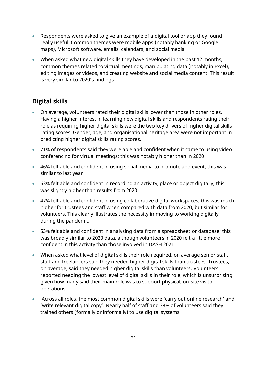- Respondents were asked to give an example of a digital tool or app they found really useful. Common themes were mobile apps (notably banking or Google maps), Microsoft software, emails, calendars, and social media
- When asked what new digital skills they have developed in the past 12 months, common themes related to virtual meetings, manipulating data (notably in Excel), editing images or videos, and creating website and social media content. This result is very similar to 2020's findings

### **Digital skills**

- On average, volunteers rated their digital skills lower than those in other roles. Having a higher interest in learning new digital skills and respondents rating their role as requiring higher digital skills were the two key drivers of higher digital skills rating scores. Gender, age, and organisational heritage area were not important in predicting higher digital skills rating scores.
- 71% of respondents said they were able and confident when it came to using video conferencing for virtual meetings; this was notably higher than in 2020
- 46% felt able and confident in using social media to promote and event; this was similar to last year
- 63% felt able and confident in recording an activity, place or object digitally; this was slightly higher than results from 2020
- 47% felt able and confident in using collaborative digital workspaces; this was much higher for trustees and staff when compared with data from 2020, but similar for volunteers. This clearly illustrates the necessity in moving to working digitally during the pandemic
- 53% felt able and confident in analysing data from a spreadsheet or database; this was broadly similar to 2020 data, although volunteers in 2020 felt a little more confident in this activity than those involved in DASH 2021
- When asked what level of digital skills their role required, on average senior staff, staff and freelancers said they needed higher digital skills than trustees. Trustees, on average, said they needed higher digital skills than volunteers. Volunteers reported needing the lowest level of digital skills in their role, which is unsurprising given how many said their main role was to support physical, on-site visitor operations
- Across all roles, the most common digital skills were 'carry out online research' and 'write relevant digital copy'. Nearly half of staff and 38% of volunteers said they trained others (formally or informally) to use digital systems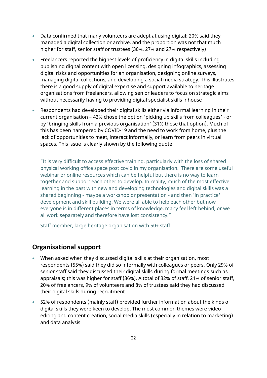- Data confirmed that many volunteers are adept at using digital: 20% said they managed a digital collection or archive, and the proportion was not that much higher for staff, senior staff or trustees (30%, 27% and 27% respectively)
- Freelancers reported the highest levels of proficiency in digital skills including publishing digital content with open licensing, designing infographics, assessing digital risks and opportunities for an organisation, designing online surveys, managing digital collections, and developing a social media strategy. This illustrates there is a good supply of digital expertise and support available to heritage organisations from freelancers, allowing senior leaders to focus on strategic aims without necessarily having to providing digital specialist skills inhouse
- Respondents had developed their digital skills either via informal learning in their current organisation – 42% chose the option 'picking up skills from colleagues' - or by 'bringing skills from a previous organisation' (31% those that option). Much of this has been hampered by COVID-19 and the need to work from home, plus the lack of opportunities to meet, interact informally, or learn from peers in virtual spaces. This issue is clearly shown by the following quote:

"It is very difficult to access effective training, particularly with the loss of shared physical working office space post covid in my organisation. There are some useful webinar or online resources which can be helpful but there is no way to learn together and support each other to develop. In reality, much of the most effective learning in the past with new and developing technologies and digital skills was a shared beginning - maybe a workshop or presentation - and then 'in practice' development and skill building. We were all able to help each other but now everyone is in different places in terms of knowledge, many feel left behind, or we all work separately and therefore have lost consistency."

Staff member, large heritage organisation with 50+ staff

### **Organisational support**

- When asked when they discussed digital skills at their organisation, most respondents (55%) said they did so informally with colleagues or peers. Only 29% of senior staff said they discussed their digital skills during formal meetings such as appraisals; this was higher for staff (36%). A total of 32% of staff, 21% of senior staff, 20% of freelancers, 9% of volunteers and 8% of trustees said they had discussed their digital skills during recruitment
- 52% of respondents (mainly staff) provided further information about the kinds of digital skills they were keen to develop. The most common themes were video editing and content creation, social media skills (especially in relation to marketing) and data analysis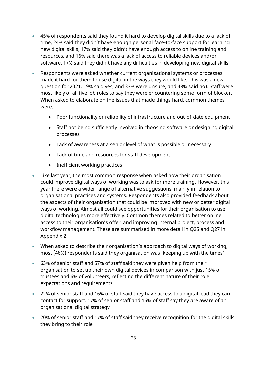- 45% of respondents said they found it hard to develop digital skills due to a lack of time, 24% said they didn't have enough personal face-to-face support for learning new digital skills, 17% said they didn't have enough access to online training and resources, and 16% said there was a lack of access to reliable devices and/or software. 17% said they didn't have any difficulties in developing new digital skills
- Respondents were asked whether current organisational systems or processes made it hard for them to use digital in the ways they would like. This was a new question for 2021. 19% said yes, and 33% were unsure, and 48% said no). Staff were most likely of all five job roles to say they were encountering some form of blocker. When asked to elaborate on the issues that made things hard, common themes were:
	- Poor functionality or reliability of infrastructure and out-of-date equipment
	- Staff not being sufficiently involved in choosing software or designing digital processes
	- Lack of awareness at a senior level of what is possible or necessary
	- Lack of time and resources for staff development
	- Inefficient working practices
- Like last year, the most common response when asked how their organisation could improve digital ways of working was to ask for more training. However, this year there were a wider range of alternative suggestions, mainly in relation to organisational practices and systems. Respondents also provided feedback about the aspects of their organisation that could be improved with new or better digital ways of working. Almost all could see opportunities for their organisation to use digital technologies more effectively. Common themes related to better online access to their organisation's offer, and improving internal project, process and workflow management. These are summarised in more detail in Q25 and Q27 in Appendix 2
- When asked to describe their organisation's approach to digital ways of working, most (46%) respondents said they organisation was 'keeping up with the times'
- 63% of senior staff and 57% of staff said they were given help from their organisation to set up their own digital devices in comparison with just 15% of trustees and 6% of volunteers, reflecting the different nature of their role expectations and requirements
- 22% of senior staff and 16% of staff said they have access to a digital lead they can contact for support. 17% of senior staff and 16% of staff say they are aware of an organisational digital strategy
- 20% of senior staff and 17% of staff said they receive recognition for the digital skills they bring to their role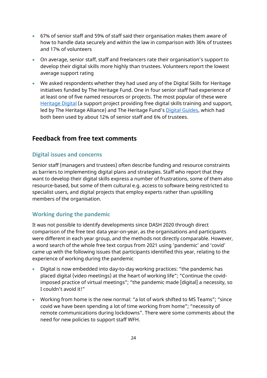- 67% of senior staff and 59% of staff said their organisation makes them aware of how to handle data securely and within the law in comparison with 36% of trustees and 17% of volunteers
- On average, senior staff, staff and freelancers rate their organisation's support to develop their digital skills more highly than trustees. Volunteers report the lowest average support rating
- We asked respondents whether they had used any of the Digital Skills for Heritage initiatives funded by The Heritage Fund. One in four senior staff had experience of at least one of five named resources or projects. The most popular of these were [Heritage Digital](https://charitydigital.org.uk/heritage-digital) (a support project providing free digital skills training and support, led by The Heritage Alliance) and The Heritage Fund's [Digital Guides,](https://www.heritagefund.org.uk/our-work/digital-skills-heritage) which had both been used by about 12% of senior staff and 6% of trustees.

### **Feedback from free text comments**

#### **Digital issues and concerns**

Senior staff (managers and trustees) often describe funding and resource constraints as barriers to implementing digital plans and strategies. Staff who report that they want to develop their digital skills express a number of frustrations, some of them also resource-based, but some of them cultural e.g. access to software being restricted to specialist users, and digital projects that employ experts rather than upskilling members of the organisation.

### **Working during the pandemic**

It was not possible to identify developments since DASH 2020 through direct comparison of the free text data year-on-year, as the organisations and participants were different in each year group, and the methods not directly comparable. However, a word search of the whole free text corpus from 2021 using 'pandemic' and 'covid' came up with the following issues that participants identified this year, relating to the experience of working during the pandemic

- Digital is now embedded into day-to-day working practices: "the pandemic has placed digital (video meetings) at the heart of working life"; "Continue the covidimposed practice of virtual meetings"; "the pandemic made [digital] a necessity, so I couldn't avoid it!"
- Working from home is the new normal: "a lot of work shifted to MS Teams"; "since covid we have been spending a lot of time working from home"; "necessity of remote communications during lockdowns". There were some comments about the need for new policies to support staff WFH.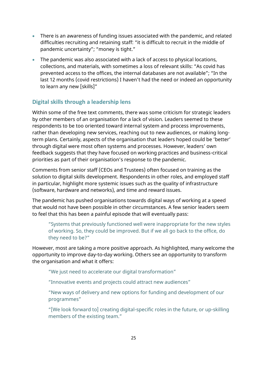- There is an awareness of funding issues associated with the pandemic, and related difficulties recruiting and retaining staff: "it is difficult to recruit in the middle of pandemic uncertainty"; "money is tight."
- The pandemic was also associated with a lack of access to physical locations, collections, and materials, with sometimes a loss of relevant skills: "As covid has prevented access to the offices, the internal databases are not available"; "In the last 12 months (covid restrictions) I haven't had the need or indeed an opportunity to learn any new [skills]"

### **Digital skills through a leadership lens**

Within some of the free text comments, there was some criticism for strategic leaders by other members of an organisation for a lack of vision. Leaders seemed to these respondents to be too oriented toward internal system and process improvements, rather than developing new services, reaching out to new audiences, or making longterm plans. Certainly, aspects of the organisation that leaders hoped could be 'better' through digital were most often systems and processes. However, leaders' own feedback suggests that they have focused on working practices and business-critical priorities as part of their organisation's response to the pandemic.

Comments from senior staff (CEOs and Trustees) often focused on training as the solution to digital skills development. Respondents in other roles, and employed staff in particular, highlight more systemic issues such as the quality of infrastructure (software, hardware and networks), and time and reward issues.

The pandemic has pushed organisations towards digital ways of working at a speed that would not have been possible in other circumstances. A few senior leaders seem to feel that this has been a painful episode that will eventually pass:

"Systems that previously functioned well were inappropriate for the new styles of working. So, they could be improved. But if we all go back to the office, do they need to be?"

However, most are taking a more positive approach. As highlighted, many welcome the opportunity to improve day-to-day working. Others see an opportunity to transform the organisation and what it offers:

"We just need to accelerate our digital transformation"

"Innovative events and projects could attract new audiences"

"New ways of delivery and new options for funding and development of our programmes"

"[We look forward to] creating digital-specific roles in the future, or up-skilling members of the existing team."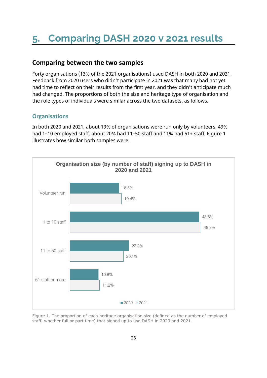# <span id="page-25-0"></span>**5. Comparing DASH 2020 v 2021 results**

### **Comparing between the two samples**

Forty organisations (13% of the 2021 organisations) used DASH in both 2020 and 2021. Feedback from 2020 users who didn't participate in 2021 was that many had not yet had time to reflect on their results from the first year, and they didn't anticipate much had changed. The proportions of both the size and heritage type of organisation and the role types of individuals were similar across the two datasets, as follows.

#### **Organisations**

In both 2020 and 2021, about 19% of organisations were run only by volunteers, 49% had 1–10 employed staff, about 20% had 11–50 staff and 11% had 51+ staff; Figure 1 illustrates how similar both samples were.



Figure 1. The proportion of each heritage organisation size (defined as the number of employed staff, whether full or part time) that signed up to use DASH in 2020 and 2021.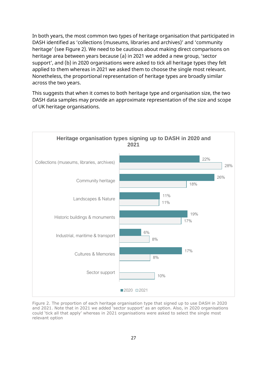In both years, the most common two types of heritage organisation that participated in DASH identified as 'collections (museums, libraries and archives)' and 'community heritage' (see Figure 2). We need to be cautious about making direct comparisons on heritage area between years because (a) in 2021 we added a new group, 'sector support', and (b) in 2020 organisations were asked to tick all heritage types they felt applied to them whereas in 2021 we asked them to choose the single most relevant. Nonetheless, the proportional representation of heritage types are broadly similar across the two years.

This suggests that when it comes to both heritage type and organisation size, the two DASH data samples may provide an approximate representation of the size and scope of UK heritage organisations.



Figure 2. The proportion of each heritage organisation type that signed up to use DASH in 2020 and 2021. Note that in 2021 we added 'sector support' as an option. Also, in 2020 organisations could 'tick all that apply' whereas in 2021 organisations were asked to select the single most relevant option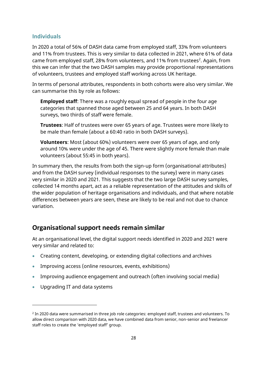#### **Individuals**

In 2020 a total of 56% of DASH data came from employed staff, 33% from volunteers and 11% from trustees. This is very similar to data collected in 2021, where 61% of data came from employed staff, 28% from volunteers, and 11% from trustees<sup>2</sup>. Again, from this we can infer that the two DASH samples may provide proportional representations of volunteers, trustees and employed staff working across UK heritage.

In terms of personal attributes, respondents in both cohorts were also very similar. We can summarise this by role as follows:

**Employed staff**: There was a roughly equal spread of people in the four age categories that spanned those aged between 25 and 64 years. In both DASH surveys, two thirds of staff were female.

**Trustees**: Half of trustees were over 65 years of age. Trustees were more likely to be male than female (about a 60:40 ratio in both DASH surveys).

**Volunteers**: Most (about 60%) volunteers were over 65 years of age, and only around 10% were under the age of 45. There were slightly more female than male volunteers (about 55:45 in both years).

In summary then, the results from both the sign-up form (organisational attributes) and from the DASH survey (individual responses to the survey) were in many cases very similar in 2020 and 2021. This suggests that the two large DASH survey samples, collected 14 months apart, act as a reliable representation of the attitudes and skills of the wider population of heritage organisations and individuals, and that where notable differences between years are seen, these are likely to be real and not due to chance variation.

### **Organisational support needs remain similar**

At an organisational level, the digital support needs identified in 2020 and 2021 were very similar and related to:

- Creating content, developing, or extending digital collections and archives
- Improving access (online resources, events, exhibitions)
- Improving audience engagement and outreach (often involving social media)
- Upgrading IT and data systems

 $^2$  In 2020 data were summarised in three job role categories: employed staff, trustees and volunteers. To allow direct comparison with 2020 data, we have combined data from senior, non-senior and freelancer staff roles to create the 'employed staff' group.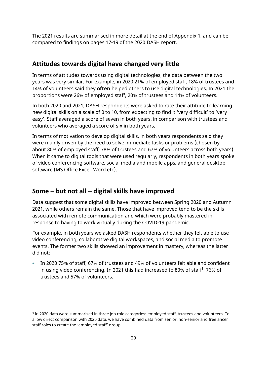The 2021 results are summarised in more detail at the end of Appendix 1, and can be compared to findings on pages 17-19 of the 2020 DASH report.

### **Attitudes towards digital have changed very little**

In terms of attitudes towards using digital technologies, the data between the two years was very similar. For example, in 2020 21% of employed staff, 18% of trustees and 14% of volunteers said they **often** helped others to use digital technologies. In 2021 the proportions were 26% of employed staff, 20% of trustees and 14% of volunteers.

In both 2020 and 2021, DASH respondents were asked to rate their attitude to learning new digital skills on a scale of 0 to 10, from expecting to find it 'very difficult' to 'very easy'. Staff averaged a score of seven in both years, in comparison with trustees and volunteers who averaged a score of six in both years.

In terms of motivation to develop digital skills, in both years respondents said they were mainly driven by the need to solve immediate tasks or problems (chosen by about 80% of employed staff, 78% of trustees and 67% of volunteers across both years). When it came to digital tools that were used regularly, respondents in both years spoke of video conferencing software, social media and mobile apps, and general desktop software (MS Office Excel, Word etc).

### **Some – but not all – digital skills have improved**

Data suggest that some digital skills have improved between Spring 2020 and Autumn 2021, while others remain the same. Those that have improved tend to be the skills associated with remote communication and which were probably mastered in response to having to work virtually during the COVID-19 pandemic.

For example, in both years we asked DASH respondents whether they felt able to use video conferencing, collaborative digital workspaces, and social media to promote events. The former two skills showed an improvement in mastery, whereas the latter did not:

• In 2020 75% of staff, 67% of trustees and 49% of volunteers felt able and confident in using video conferencing. In 2021 this had increased to 80% of staff<sup>3</sup>, 76% of trustees and 57% of volunteers.

 $^3$  In 2020 data were summarised in three job role categories: employed staff, trustees and volunteers. To allow direct comparison with 2020 data, we have combined data from senior, non-senior and freelancer staff roles to create the 'employed staff' group.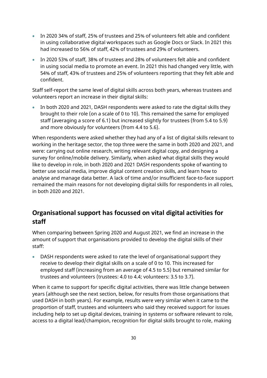- In 2020 34% of staff, 25% of trustees and 25% of volunteers felt able and confident in using collaborative digital workspaces such as Google Docs or Slack. In 2021 this had increased to 56% of staff, 42% of trustees and 29% of volunteers.
- In 2020 53% of staff, 38% of trustees and 28% of volunteers felt able and confident in using social media to promote an event. In 2021 this had changed very little, with 54% of staff, 43% of trustees and 25% of volunteers reporting that they felt able and confident.

Staff self-report the same level of digital skills across both years, whereas trustees and volunteers report an increase in their digital skills:

• In both 2020 and 2021, DASH respondents were asked to rate the digital skills they brought to their role (on a scale of 0 to 10). This remained the same for employed staff (averaging a score of 6.1) but increased slightly for trustees (from 5.4 to 5.9) and more obviously for volunteers (from 4.4 to 5.6).

When respondents were asked whether they had any of a list of digital skills relevant to working in the heritage sector, the top three were the same in both 2020 and 2021, and were: carrying out online research, writing relevant digital copy, and designing a survey for online/mobile delivery. Similarly, when asked what digital skills they would like to develop in role, in both 2020 and 2021 DASH respondents spoke of wanting to better use social media, improve digital content creation skills, and learn how to analyse and manage data better. A lack of time and/or insufficient face-to-face support remained the main reasons for not developing digital skills for respondents in all roles, in both 2020 and 2021.

## **Organisational support has focussed on vital digital activities for staff**

When comparing between Spring 2020 and August 2021, we find an increase in the amount of support that organisations provided to develop the digital skills of their staff:

• DASH respondents were asked to rate the level of organisational support they receive to develop their digital skills on a scale of 0 to 10. This increased for employed staff (increasing from an average of 4.5 to 5.5) but remained similar for trustees and volunteers (trustees: 4.0 to 4.4; volunteers: 3.5 to 3.7).

When it came to support for specific digital activities, there was little change between years (although see the next section, below, for results from those organisations that used DASH in both years). For example, results were very similar when it came to the proportion of staff, trustees and volunteers who said they received support for issues including help to set up digital devices, training in systems or software relevant to role, access to a digital lead/champion, recognition for digital skills brought to role, making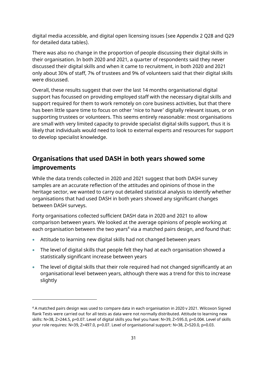digital media accessible, and digital open licensing issues (see Appendix 2 Q28 and Q29 for detailed data tables).

There was also no change in the proportion of people discussing their digital skills in their organisation. In both 2020 and 2021, a quarter of respondents said they never discussed their digital skills and when it came to recruitment, in both 2020 and 2021 only about 30% of staff, 7% of trustees and 9% of volunteers said that their digital skills were discussed.

Overall, these results suggest that over the last 14 months organisational digital support has focussed on providing employed staff with the necessary digital skills and support required for them to work remotely on core business activities, but that there has been little spare time to focus on other 'nice to have' digitally relevant issues, or on supporting trustees or volunteers. This seems entirely reasonable: most organisations are small with very limited capacity to provide specialist digital skills support, thus it is likely that individuals would need to look to external experts and resources for support to develop specialist knowledge.

### **Organisations that used DASH in both years showed some improvements**

While the data trends collected in 2020 and 2021 suggest that both DASH survey samples are an accurate reflection of the attitudes and opinions of those in the heritage sector, we wanted to carry out detailed statistical analysis to identify whether organisations that had used DASH in both years showed any significant changes between DASH surveys.

Forty organisations collected sufficient DASH data in 2020 and 2021 to allow comparison between years. We looked at the average opinions of people working at each organisation between the two years<sup>4</sup> via a matched pairs design, and found that:

- Attitude to learning new digital skills had not changed between years
- The level of digital skills that people felt they had at each organisation showed a statistically significant increase between years
- The level of digital skills that their role required had not changed significantly at an organisational level between years, although there was a trend for this to increase slightly

<sup>4</sup> A matched pairs design was used to compare data in each organisation in 2020 v 2021. Wilcoxon Signed Rank Tests were carried out for all tests as data were not normally distributed. Attitude to learning new skills: N=38, Z=244.5, p=0.07. Level of digital skills you feel you have: N=39, Z=595.0, p=0.004. Level of skills your role requires: N=39, Z=497.0, p=0.07. Level of organisational support: N=38, Z=520.0, p=0.03.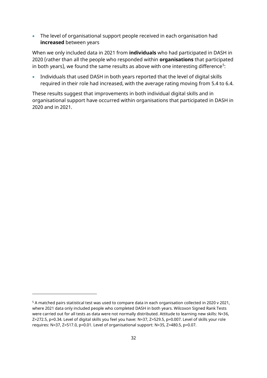• The level of organisational support people received in each organisation had **increased** between years

When we only included data in 2021 from **individuals** who had participated in DASH in 2020 (rather than all the people who responded within **organisations** that participated in both years), we found the same results as above with one interesting difference $^5$ :

• Individuals that used DASH in both years reported that the level of digital skills required in their role had increased, with the average rating moving from 5.4 to 6.4.

These results suggest that improvements in both individual digital skills and in organisational support have occurred within organisations that participated in DASH in 2020 and in 2021.

<sup>5</sup> A matched pairs statistical test was used to compare data in each organisation collected in 2020 v 2021, where 2021 data only included people who completed DASH in both years. Wilcoxon Signed Rank Tests were carried out for all tests as data were not normally distributed. Attitude to learning new skills: N=36, Z=272.5, p=0.34. Level of digital skills you feel you have: N=37, Z=529.5, p=0.007. Level of skills your role requires: N=37, Z=517.0, p=0.01. Level of organisational support: N=35, Z=480.5, p=0.07.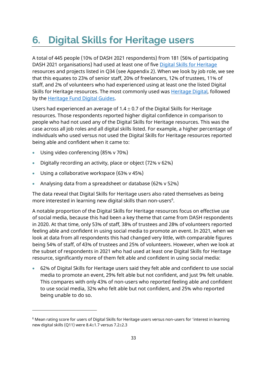# <span id="page-32-0"></span>**6. Digital Skills for Heritage users**

A total of 445 people (10% of DASH 2021 respondents) from 181 (56% of participating DASH 2021 organisations) had used at least one of five [Digital Skills for Heritage](https://www.heritagefund.org.uk/our-work/digital-skills-heritage) resources and projects listed in Q34 (see Appendix 2). When we look by job role, we see that this equates to 23% of senior staff, 20% of freelancers, 12% of trustees, 11% of staff, and 2% of volunteers who had experienced using at least one the listed Digital Skills for Heritage resources. The most commonly used was [Heritage Digital,](https://charitydigital.org.uk/heritage-digital) followed by the [Heritage Fund Digital Guides.](https://www.heritagefund.org.uk/our-work/digital-skills-heritage)

Users had experienced an average of  $1.4 \pm 0.7$  of the Digital Skills for Heritage resources. Those respondents reported higher digital confidence in comparison to people who had not used any of the Digital Skills for Heritage resources. This was the case across all job roles and all digital skills listed. For example, a higher percentage of individuals who used versus not used the Digital Skills for Heritage resources reported being able and confident when it came to:

- Using video conferencing (85% v 70%)
- Digitally recording an activity, place or object (72% v 62%)
- Using a collaborative workspace (63% v 45%)
- Analysing data from a spreadsheet or database (62% v 52%)

The data reveal that Digital Skills for Heritage users also rated themselves as being more interested in learning new digital skills than non-users<sup>6</sup>.

A notable proportion of the Digital Skills for Heritage resources focus on effective use of social media, because this had been a key theme that came from DASH respondents in 2020. At that time, only 53% of staff, 38% of trustees and 28% of volunteers reported feeling able and confident in using social media to promote an event. In 2021, when we look at data from all respondents this had changed very little, with comparable figures being 54% of staff, of 43% of trustees and 25% of volunteers. However, when we look at the subset of respondents in 2021 who had used at least one Digital Skills for Heritage resource, significantly more of them felt able and confident in using social media:

• 62% of Digital Skills for Heritage users said they felt able and confident to use social media to promote an event, 29% felt able but not confident, and just 9% felt unable. This compares with only 43% of non-users who reported feeling able and confident to use social media, 32% who felt able but not confident, and 25% who reported being unable to do so.

<sup>6</sup> Mean rating score for users of Digital Skills for Heritage users versus non-users for 'interest in learning new digital skills (Q11) were 8.4 $\pm$ 1.7 versus 7.2 $\pm$ 2.3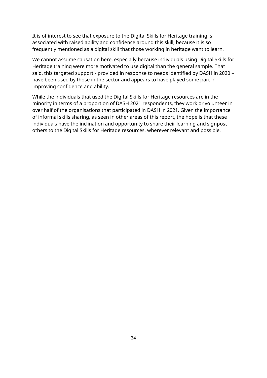It is of interest to see that exposure to the Digital Skills for Heritage training is associated with raised ability and confidence around this skill, because it is so frequently mentioned as a digital skill that those working in heritage want to learn.

We cannot assume causation here, especially because individuals using Digital Skills for Heritage training were more motivated to use digital than the general sample. That said, this targeted support - provided in response to needs identified by DASH in 2020 – have been used by those in the sector and appears to have played some part in improving confidence and ability.

While the individuals that used the Digital Skills for Heritage resources are in the minority in terms of a proportion of DASH 2021 respondents, they work or volunteer in over half of the organisations that participated in DASH in 2021. Given the importance of informal skills sharing, as seen in other areas of this report, the hope is that these individuals have the inclination and opportunity to share their learning and signpost others to the Digital Skills for Heritage resources, wherever relevant and possible.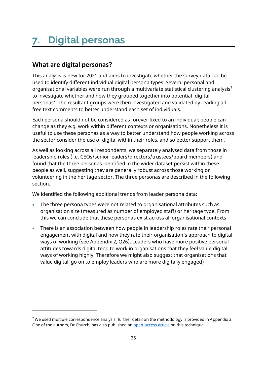# <span id="page-34-0"></span>**7. Digital personas**

# **What are digital personas?**

This analysis is new for 2021 and aims to investigate whether the survey data can be used to identify different individual digital persona types. Several personal and organisational variables were run through a multivariate statistical clustering analysis<sup>7</sup> to investigate whether and how they grouped together into potential 'digital personas'. The resultant groups were then investigated and validated by reading all free text comments to better understand each set of individuals.

Each persona should not be considered as forever fixed to an individual; people can change as they e.g. work within different contexts or organisations. Nonetheless it is useful to use these personas as a way to better understand how people working across the sector consider the use of digital within their roles, and so better support them.

As well as looking across all respondents, we separately analysed data from those in leadership roles (i.e. CEOs/senior leaders/directors/trustees/board members) and found that the three personas identified in the wider dataset persist within these people as well, suggesting they are generally robust across those working or volunteering in the heritage sector. The three personas are described in the following section.

We identified the following additional trends from leader persona data:

- The three persona types were not related to organisational attributes such as organisation size (measured as number of employed staff) or heritage type. From this we can conclude that these personas exist across all organisational contexts
- There is an association between how people in leadership roles rate their personal engagement with digital and how they rate their organisation's approach to digital ways of working (see Appendix 2, Q26). Leaders who have more positive personal attitudes towards digital tend to work in organisations that they feel value digital ways of working highly. Therefore we might also suggest that organisations that value digital, go on to employ leaders who are more digitally engaged)

<sup>&</sup>lt;sup>7</sup> We used multiple correspondence analysis; further detail on the methodology is provided in Appendix 3. One of the authors, Dr Church, has also published an **open-access article** on this technique.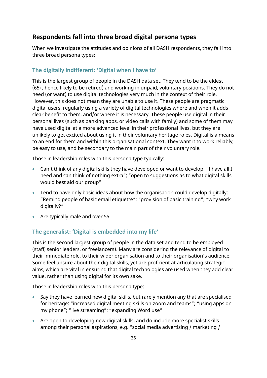### **Respondents fall into three broad digital persona types**

When we investigate the attitudes and opinions of all DASH respondents, they fall into three broad persona types:

#### **The digitally indifferent: 'Digital when I have to'**

This is the largest group of people in the DASH data set. They tend to be the eldest (65+, hence likely to be retired) and working in unpaid, voluntary positions. They do not need (or want) to use digital technologies very much in the context of their role. However, this does not mean they are unable to use it. These people are pragmatic digital users, regularly using a variety of digital technologies where and when it adds clear benefit to them, and/or where it is necessary. These people use digital in their personal lives (such as banking apps, or video calls with family) and some of them may have used digital at a more advanced level in their professional lives, but they are unlikely to get excited about using it in their voluntary heritage roles. Digital is a means to an end for them and within this organisational context. They want it to work reliably, be easy to use, and be secondary to the main part of their voluntary role.

Those in leadership roles with this persona type typically:

- Can't think of any digital skills they have developed or want to develop: "I have all I need and can think of nothing extra"; "open to suggestions as to what digital skills would best aid our group"
- Tend to have only basic ideas about how the organisation could develop digitally: "Remind people of basic email etiquette"; "provision of basic training"; "why work digitally?"
- Are typically male and over 55

#### **The generalist: 'Digital is embedded into my life'**

This is the second largest group of people in the data set and tend to be employed (staff, senior leaders, or freelancers). Many are considering the relevance of digital to their immediate role, to their wider organisation and to their organisation's audience. Some feel unsure about their digital skills, yet are proficient at articulating strategic aims, which are vital in ensuring that digital technologies are used when they add clear value, rather than using digital for its own sake.

Those in leadership roles with this persona type:

- Say they have learned new digital skills, but rarely mention any that are specialised for heritage: "increased digital meeting skills on zoom and teams"; "using apps on my phone"; "live streaming"; "expanding Word use"
- Are open to developing new digital skills, and do include more specialist skills among their personal aspirations, e.g. "social media advertising / marketing /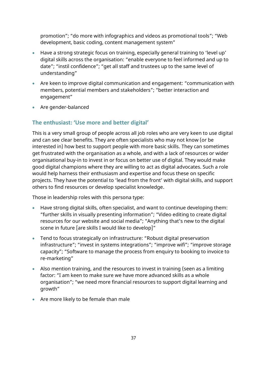promotion"; "do more with infographics and videos as promotional tools"; "Web development, basic coding, content management system"

- Have a strong strategic focus on training, especially general training to 'level up' digital skills across the organisation: "enable everyone to feel informed and up to date"; "instil confidence"; "get all staff and trustees up to the same level of understanding"
- Are keen to improve digital communication and engagement: "communication with members, potential members and stakeholders"; "better interaction and engagement"
- Are gender-balanced

#### **The enthusiast: 'Use more and better digital'**

This is a very small group of people across all job roles who are very keen to use digital and can see clear benefits. They are often specialists who may not know (or be interested in) how best to support people with more basic skills. They can sometimes get frustrated with the organisation as a whole, and with a lack of resources or wider organisational buy-in to invest in or focus on better use of digital. They would make good digital champions where they are willing to act as digital advocates. Such a role would help harness their enthusiasm and expertise and focus these on specific projects. They have the potential to 'lead from the front' with digital skills, and support others to find resources or develop specialist knowledge.

Those in leadership roles with this persona type:

- Have strong digital skills, often specialist, and want to continue developing them: "further skills in visually presenting information"; "Video editing to create digital resources for our website and social media"; "Anything that's new to the digital scene in future [are skills I would like to develop]"
- Tend to focus strategically on infrastructure: "Robust digital preservation infrastructure"; "invest in systems integrations"; "improve wifi"; "improve storage capacity"; "Software to manage the process from enquiry to booking to invoice to re-marketing"
- Also mention training, and the resources to invest in training (seen as a limiting factor: "I am keen to make sure we have more advanced skills as a whole organisation"; "we need more financial resources to support digital learning and growth"
- Are more likely to be female than male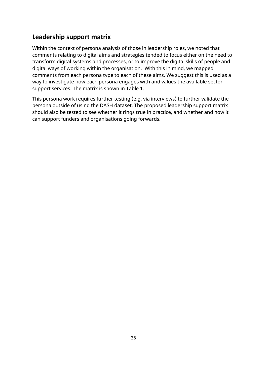## **Leadership support matrix**

Within the context of persona analysis of those in leadership roles, we noted that comments relating to digital aims and strategies tended to focus either on the need to transform digital systems and processes, or to improve the digital skills of people and digital ways of working within the organisation. With this in mind, we mapped comments from each persona type to each of these aims. We suggest this is used as a way to investigate how each persona engages with and values the available sector support services. The matrix is shown in Table 1.

This persona work requires further testing (e.g. via interviews) to further validate the persona outside of using the DASH dataset. The proposed leadership support matrix should also be tested to see whether it rings true in practice, and whether and how it can support funders and organisations going forwards.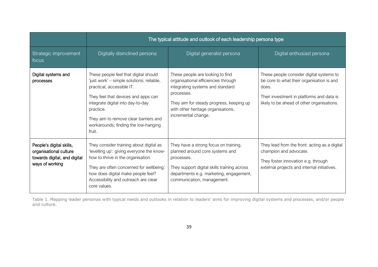|                                                                                                       | The typical attitude and outlook of each leadership persona type                                                                                                                                                                                                                                    |                                                                                                                                                                                                                                    |                                                                                                                                                                                           |  |  |
|-------------------------------------------------------------------------------------------------------|-----------------------------------------------------------------------------------------------------------------------------------------------------------------------------------------------------------------------------------------------------------------------------------------------------|------------------------------------------------------------------------------------------------------------------------------------------------------------------------------------------------------------------------------------|-------------------------------------------------------------------------------------------------------------------------------------------------------------------------------------------|--|--|
| Strategic improvement<br>focus                                                                        | Digitally disinclined persona                                                                                                                                                                                                                                                                       | Digital generalist persona                                                                                                                                                                                                         | Digital enthusiast persona                                                                                                                                                                |  |  |
| Digital systems and<br>processes                                                                      | These people feel that digital should<br>'just work' – simple solutions; reliable,<br>practical, accessible IT.<br>They feel that devices and apps can<br>integrate digital into day-to-day<br>practice.<br>They aim to remove clear barriers and<br>workarounds; finding the low-hanging<br>fruit. | These people are looking to find<br>organisational efficiencies through<br>integrating systems and standard<br>processes.<br>They aim for steady progress, keeping up<br>with other heritage organisations,<br>incremental change. | These people consider digital systems to<br>be core to what their organisation is and<br>does.<br>Their investment in platforms and data is<br>likely to be ahead of other organisations. |  |  |
| People's digital skills,<br>organisational culture<br>towards digital, and digital<br>ways of working | They consider training about digital as<br>'levelling up': giving everyone the know-<br>how to thrive in the organisation.<br>They are often concerned for wellbeing:<br>how does digital make people feel?<br>Accessibility and outreach are clear<br>core values.                                 | They have a strong focus on training,<br>planned around core systems and<br>processes.<br>They support digital skills training across<br>departments e.g. marketing, engagement,<br>communication, management.                     | They lead from the front: acting as a digital<br>champion and advocate.<br>They foster innovation e.g. through<br>external projects and internal initiatives.                             |  |  |

Table 1. Mapping leader personas with typical needs and outlooks in relation to leaders' aims for improving digital systems and processes, and/or people and culture.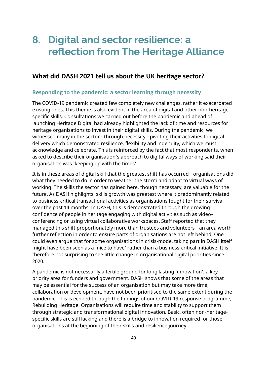## **8. Digital and sector resilience: a reflection from The Heritage Alliance**

## **What did DASH 2021 tell us about the UK heritage sector?**

#### **Responding to the pandemic: a sector learning through necessity**

The COVID-19 pandemic created few completely new challenges, rather it exacerbated existing ones. This theme is also evident in the area of digital and other non-heritagespecific skills. Consultations we carried out before the pandemic and ahead of launching Heritage Digital had already highlighted the lack of time and resources for heritage organisations to invest in their digital skills. During the pandemic, we witnessed many in the sector - through necessity - pivoting their activities to digital delivery which demonstrated resilience, flexibility and ingenuity, which we must acknowledge and celebrate. This is reinforced by the fact that most respondents, when asked to describe their organisation's approach to digital ways of working said their organisation was 'keeping up with the times'.

It is in these areas of digital skill that the greatest shift has occurred - organisations did what they needed to do in order to weather the storm and adapt to virtual ways of working. The skills the sector has gained here, though necessary, are valuable for the future. As DASH highlights, skills growth was greatest where it predominantly related to business-critical transactional activities as organisations fought for their survival over the past 14 months. In DASH, this is demonstrated through the growing confidence of people in heritage engaging with digital activities such as videoconferencing or using virtual collaborative workspaces. Staff reported that they managed this shift proportionately more than trustees and volunteers - an area worth further reflection in order to ensure parts of organisations are not left behind. One could even argue that for some organisations in crisis-mode, taking part in DASH itself might have been seen as a 'nice to have' rather than a business-critical initiative. It is therefore not surprising to see little change in organisational digital priorities since 2020.

A pandemic is not necessarily a fertile ground for long lasting 'innovation', a key priority area for funders and government. DASH shows that some of the areas that may be essential for the success of an organisation but may take more time, collaboration or development, have not been prioritised to the same extent during the pandemic. This is echoed through the findings of our COVID-19 response programme, Rebuilding Heritage. Organisations will require time and stability to support them through strategic and transformational digital innovation. Basic, often non-heritagespecific skills are still lacking and there is a bridge to innovation required for those organisations at the beginning of their skills and resilience journey.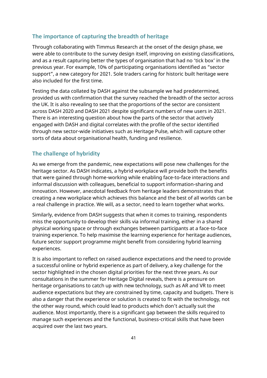#### **The importance of capturing the breadth of heritage**

Through collaborating with Timmus Research at the onset of the design phase, we were able to contribute to the survey design itself, improving on existing classifications, and as a result capturing better the types of organisation that had no 'tick box' in the previous year. For example, 10% of participating organisations identified as "sector support", a new category for 2021. Sole traders caring for historic built heritage were also included for the first time.

Testing the data collated by DASH against the subsample we had predetermined, provided us with confirmation that the survey reached the breadth of the sector across the UK. It is also revealing to see that the proportions of the sector are consistent across DASH 2020 and DASH 2021 despite significant numbers of new users in 2021. There is an interesting question about how the parts of the sector that actively engaged with DASH and digital correlates with the profile of the sector identified through new sector-wide initiatives such as Heritage Pulse, which will capture other sorts of data about organisational health, funding and resilience.

#### **The challenge of hybridity**

As we emerge from the pandemic, new expectations will pose new challenges for the heritage sector. As DASH indicates, a hybrid workplace will provide both the benefits that were gained through home-working while enabling face-to-face interactions and informal discussion with colleagues, beneficial to support information-sharing and innovation. However, anecdotal feedback from heritage leaders demonstrates that creating a new workplace which achieves this balance and the best of all worlds can be a real challenge in practice. We will, as a sector, need to learn together what works.

Similarly, evidence from DASH suggests that when it comes to training, respondents miss the opportunity to develop their skills via informal training, either in a shared physical working space or through exchanges between participants at a face-to-face training experience. To help maximise the learning experience for heritage audiences, future sector support programme might benefit from considering hybrid learning experiences.

It is also important to reflect on raised audience expectations and the need to provide a successful online or hybrid experience as part of delivery, a key challenge for the sector highlighted in the chosen digital priorities for the next three years. As our consultations in the summer for Heritage Digital reveals, there is a pressure on heritage organisations to catch up with new technology, such as AR and VR to meet audience expectations but they are constrained by time, capacity and budgets. There is also a danger that the experience or solution is created to fit with the technology, not the other way round, which could lead to products which don't actually suit the audience. Most importantly, there is a significant gap between the skills required to manage such experiences and the functional, business-critical skills that have been acquired over the last two years.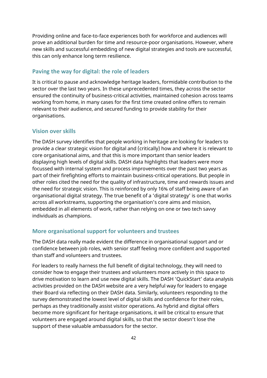Providing online and face-to-face experiences both for workforce and audiences will prove an additional burden for time and resource-poor organisations. However, where new skills and successful embedding of new digital strategies and tools are successful, this can only enhance long term resilience.

#### **Paving the way for digital: the role of leaders**

It is critical to pause and acknowledge heritage leaders, formidable contribution to the sector over the last two years. In these unprecedented times, they across the sector ensured the continuity of business-critical activities, maintained cohesion across teams working from home, in many cases for the first time created online offers to remain relevant to their audience, and secured funding to provide stability for their organisations.

#### **Vision over skills**

The DASH survey identifies that people working in heritage are looking for leaders to provide a clear strategic vision for digital and (critically) how and where it is relevant to core organisational aims, and that this is more important than senior leaders displaying high levels of digital skills. DASH data highlights that leaders were more focussed with internal system and process improvements over the past two years as part of their firefighting efforts to maintain business-critical operations. But people in other roles cited the need for the quality of infrastructure, time and rewards issues and the need for strategic vision. This is reinforced by only 16% of staff being aware of an organisational digital strategy. The true benefit of a 'digital strategy' is one that works across all workstreams, supporting the organisation's core aims and mission, embedded in all elements of work, rather than relying on one or two tech savvy individuals as champions.

#### **More organisational support for volunteers and trustees**

The DASH data really made evident the difference in organisational support and or confidence between job roles, with senior staff feeling more confident and supported than staff and volunteers and trustees.

For leaders to really harness the full benefit of digital technology, they will need to consider how to engage their trustees and volunteers more actively in this space to drive motivation to learn and use new digital skills. The DASH 'QuickStart' data analysis activities provided on the DASH website are a very helpful way for leaders to engage their Board via reflecting on their DASH data. Similarly, volunteers responding to the survey demonstrated the lowest level of digital skills and confidence for their roles, perhaps as they traditionally assist visitor operations. As hybrid and digital offers become more significant for heritage organisations, it will be critical to ensure that volunteers are engaged around digital skills, so that the sector doesn't lose the support of these valuable ambassadors for the sector.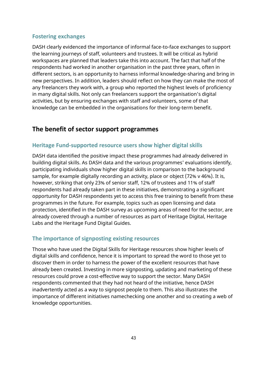#### **Fostering exchanges**

DASH clearly evidenced the importance of informal face-to-face exchanges to support the learning journeys of staff, volunteers and trustees. It will be critical as hybrid workspaces are planned that leaders take this into account. The fact that half of the respondents had worked in another organisation in the past three years, often in different sectors, is an opportunity to harness informal knowledge-sharing and bring in new perspectives. In addition, leaders should reflect on how they can make the most of any freelancers they work with, a group who reported the highest levels of proficiency in many digital skills. Not only can freelancers support the organisation's digital activities, but by ensuring exchanges with staff and volunteers, some of that knowledge can be embedded in the organisations for their long-term benefit.

## **The benefit of sector support programmes**

#### **Heritage Fund-supported resource users show higher digital skills**

DASH data identified the positive impact these programmes had already delivered in building digital skills. As DASH data and the various programmes' evaluations identify, participating individuals show higher digital skills in comparison to the background sample, for example digitally recording an activity, place or object (72% v 46%). It is, however, striking that only 23% of senior staff, 12% of trustees and 11% of staff respondents had already taken part in these initiatives, demonstrating a significant opportunity for DASH respondents yet to access this free training to benefit from these programmes in the future. For example, topics such as open licensing and data protection, identified in the DASH survey as upcoming areas of need for the sector, are already covered through a number of resources as part of Heritage Digital, Heritage Labs and the Heritage Fund Digital Guides.

#### **The importance of signposting existing resources**

Those who have used the Digital Skills for Heritage resources show higher levels of digital skills and confidence, hence it is important to spread the word to those yet to discover them in order to harness the power of the excellent resources that have already been created. Investing in more signposting, updating and marketing of these resources could prove a cost-effective way to support the sector. Many DASH respondents commented that they had not heard of the initiative, hence DASH inadvertently acted as a way to signpost people to them. This also illustrates the importance of different initiatives namechecking one another and so creating a web of knowledge opportunities.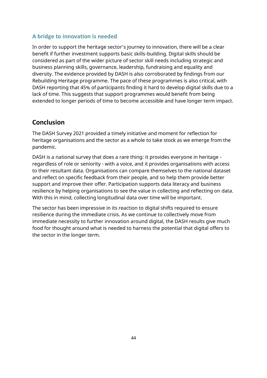#### **A bridge to innovation is needed**

In order to support the heritage sector's journey to innovation, there will be a clear benefit if further investment supports basic skills-building. Digital skills should be considered as part of the wider picture of sector skill needs including strategic and business planning skills, governance, leadership, fundraising and equality and diversity. The evidence provided by DASH is also corroborated by findings from our Rebuilding Heritage programme. The pace of these programmes is also critical, with DASH reporting that 45% of participants finding it hard to develop digital skills due to a lack of time. This suggests that support programmes would benefit from being extended to longer periods of time to become accessible and have longer term impact.

## **Conclusion**

The DASH Survey 2021 provided a timely initiative and moment for reflection for heritage organisations and the sector as a whole to take stock as we emerge from the pandemic.

DASH is a national survey that does a rare thing: it provides everyone in heritage regardless of role or seniority - with a voice, and it provides organisations with access to their resultant data. Organisations can compare themselves to the national dataset and reflect on specific feedback from their people, and so help them provide better support and improve their offer. Participation supports data literacy and business resilience by helping organisations to see the value in collecting and reflecting on data. With this in mind, collecting longitudinal data over time will be important.

The sector has been impressive in its reaction to digital shifts required to ensure resilience during the immediate crisis. As we continue to collectively move from immediate necessity to further innovation around digital, the DASH results give much food for thought around what is needed to harness the potential that digital offers to the sector in the longer term.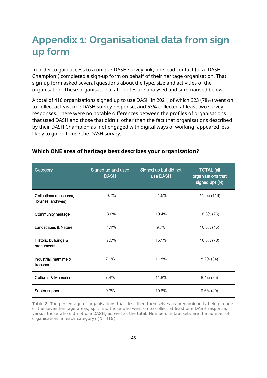## **Appendix 1: Organisational data from sign up form**

In order to gain access to a unique DASH survey link, one lead contact (aka 'DASH Champion') completed a sign-up form on behalf of their heritage organisation. That sign-up form asked several questions about the type, size and activities of the organisation. These organisational attributes are analysed and summarised below.

A total of 416 organisations signed up to use DASH in 2021, of which 323 (78%) went on to collect at least one DASH survey response, and 63% collected at least two survey responses. There were no notable differences between the profiles of organisations that used DASH and those that didn't, other than the fact that organisations described by their DASH Champion as 'not engaged with digital ways of working' appeared less likely to go on to use the DASH survey.

| Category                                      | Signed up and used<br><b>DASH</b> | Signed up but did not<br>use DASH | <b>TOTAL</b> (all<br>organisations that<br>signed up) (N) |
|-----------------------------------------------|-----------------------------------|-----------------------------------|-----------------------------------------------------------|
| Collections (museums,<br>libraries, archives) | 29.7%                             | 21.5%                             | 27.9% (116)                                               |
| Community heritage                            | 18.0%                             | 19.4%                             | 18.3% (76)                                                |
| Landscapes & Nature                           | 11.1%                             | 9.7%                              | $10.8\%$ (45)                                             |
| Historic buildings &<br>monuments             | 17.3%                             | 15.1%                             | 16.8% (70)                                                |
| Industrial, maritime &<br>transport           | 7.1%                              | 11.8%                             | $8.2\%$ (34)                                              |
| <b>Cultures &amp; Memories</b>                | 7.4%                              | 11.8%                             | 8.4% (35)                                                 |
| Sector support                                | 9.3%                              | 10.8%                             | $9.6\%$ (40)                                              |

#### **Which ONE area of heritage best describes your organisation?**

Table 2. The percentage of organisations that described themselves as predominantly being in one of the seven heritage areas, split into those who went on to collect at least one DASH response, versus those who did not use DASH, as well as the total. Numbers in brackets are the number of organisations in each category) (N=416)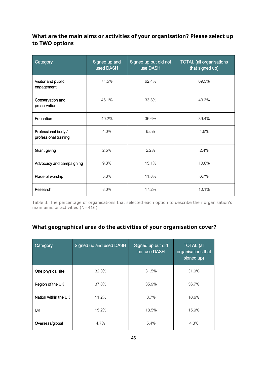## **What are the main aims or activities of your organisation? Please select up to TWO options**

| Category                                     | Signed up and<br>used DASH | Signed up but did not<br>use DASH | <b>TOTAL (all organisations</b><br>that signed up) |
|----------------------------------------------|----------------------------|-----------------------------------|----------------------------------------------------|
| Visitor and public<br>engagement             | 71.5%                      | 62.4%                             | 69.5%                                              |
| Conservation and<br>preservation             | 46.1%                      | 33.3%                             | 43.3%                                              |
| Education                                    | 40.2%                      | 36.6%                             | 39.4%                                              |
| Professional body /<br>professional training | 4.0%                       | 6.5%                              | 4.6%                                               |
| Grant giving                                 | 2.5%                       | 2.2%                              | 2.4%                                               |
| Advocacy and campaigning                     | 9.3%                       | 15.1%                             | 10.6%                                              |
| Place of worship                             | 5.3%                       | 11.8%                             | 6.7%                                               |
| Research                                     | 8.0%                       | 17.2%                             | 10.1%                                              |

Table 3. The percentage of organisations that selected each option to describe their organisation's main aims or activities  $(N=416)$ 

## **What geographical area do the activities of your organisation cover?**

| Category             | Signed up and used DASH | Signed up but did<br>not use DASH | <b>TOTAL</b> (all<br>organisations that<br>signed up) |
|----------------------|-------------------------|-----------------------------------|-------------------------------------------------------|
| One physical site    | 32.0%                   | 31.5%                             | 31.9%                                                 |
| Region of the UK     | 37.0%                   | 35.9%                             | 36.7%                                                 |
| Nation within the UK | 11.2%                   | 8.7%                              | 10.6%                                                 |
| UK                   | 15.2%                   | 18.5%                             | 15.9%                                                 |
| Overseas/global      | 4.7%                    | 5.4%                              | 4.8%                                                  |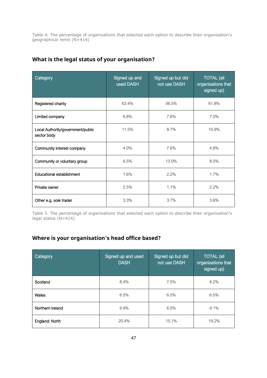Table 4. The percentage of organisations that selected each option to describe their organisation's geographical remit (N=414)

| Category                                         | Signed up and<br>used DASH | Signed up but did<br>not use DASH | <b>TOTAL</b> (all<br>organisations that<br>signed up) |
|--------------------------------------------------|----------------------------|-----------------------------------|-------------------------------------------------------|
| Registered charity                               | 63.4%                      | 56.5%                             | 61.8%                                                 |
| Limited company                                  | 6.8%                       | 7.6%                              | 7.0%                                                  |
| Local Authority/government/public<br>sector body | 11.5%                      | 8.7%                              | 10.9%                                                 |
| Community interest company                       | 4.0%                       | 7.6%                              | 4.8%                                                  |
| Community or voluntary group                     | 6.5%                       | 13.0%                             | 8.0%                                                  |
| Educational establishment                        | 1.6%                       | 2.2%                              | 1.7%                                                  |
| Private owner                                    | 2.5%                       | 1.1%                              | 2.2%                                                  |
| Other e.g. sole trader                           | 3.3%                       | 3.7%                              | 3.6%                                                  |

## **What is the legal status of your organisation?**

Table 5. The percentage of organisations that selected each option to describe their organisation's legal status (N=414)

## **Where is your organisation's head office based?**

| Category         | Signed up and used<br><b>DASH</b> | Signed up but did<br>not use DASH | <b>TOTAL (all</b><br>organisations that<br>signed up) |
|------------------|-----------------------------------|-----------------------------------|-------------------------------------------------------|
| Scotland         | 8.4%                              | 7.5%                              | 8.2%                                                  |
| Wales            | 6.5%                              | 6.5%                              | 6.5%                                                  |
| Northern Ireland | 9.9%                              | 6.5%                              | 9.1%                                                  |
| England: North   | 20.4%                             | 15.1%                             | 19.2%                                                 |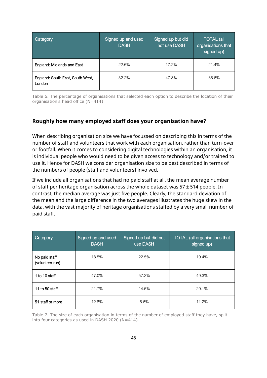| <b>Category</b>                            | Signed up and used<br><b>DASH</b> | Signed up but did<br>not use DASH | <b>TOTAL</b> (all<br>organisations that<br>signed up) |
|--------------------------------------------|-----------------------------------|-----------------------------------|-------------------------------------------------------|
| England: Midlands and East                 | 22.6%                             | 17.2%                             | 21.4%                                                 |
| England: South East, South West,<br>London | 32.2%                             | 47.3%                             | 35.6%                                                 |

Table 6. The percentage of organisations that selected each option to describe the location of their organisation's head office (N=414)

#### **Roughly how many employed staff does your organisation have?**

When describing organisation size we have focussed on describing this in terms of the number of staff and volunteers that work with each organisation, rather than turn-over or footfall. When it comes to considering digital technologies within an organisation, it is individual people who would need to be given access to technology and/or trained to use it. Hence for DASH we consider organisation size to be best described in terms of the numbers of people (staff and volunteers) involved.

If we include all organisations that had no paid staff at all, the mean average number of staff per heritage organisation across the whole dataset was  $57 \pm 514$  people. In contrast, the median average was just five people. Clearly, the standard deviation of the mean and the large difference in the two averages illustrates the huge skew in the data, with the vast majority of heritage organisations staffed by a very small number of paid staff.

| Category                         | Signed up and used<br><b>DASH</b> | Signed up but did not<br>use DASH | <b>TOTAL (all organisations that</b><br>signed up) |
|----------------------------------|-----------------------------------|-----------------------------------|----------------------------------------------------|
| No paid staff<br>(volunteer run) | 18.5%                             | 22.5%                             | 19.4%                                              |
| 1 to 10 staff                    | 47.0%                             | 57.3%                             | 49.3%                                              |
| 11 to 50 staff                   | 21.7%                             | 14.6%                             | 20.1%                                              |
| 51 staff or more                 | 12.8%                             | 5.6%                              | 11.2%                                              |

Table 7. The size of each organisation in terms of the number of employed staff they have, split into four categories as used in DASH 2020 (N=414)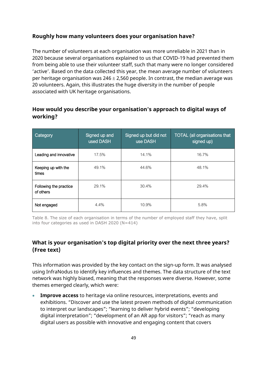#### **Roughly how many volunteers does your organisation have?**

The number of volunteers at each organisation was more unreliable in 2021 than in 2020 because several organisations explained to us that COVID-19 had prevented them from being able to use their volunteer staff, such that many were no longer considered 'active'. Based on the data collected this year, the mean average number of volunteers per heritage organisation was  $246 \pm 2.560$  people. In contrast, the median average was 20 volunteers. Again, this illustrates the huge diversity in the number of people associated with UK heritage organisations.

## **How would you describe your organisation's approach to digital ways of working?**

| Category                            | Signed up and<br>used DASH | Signed up but did not<br>use DASH | <b>TOTAL</b> (all organisations that<br>signed up) |
|-------------------------------------|----------------------------|-----------------------------------|----------------------------------------------------|
| Leading and innovative              | 17.5%                      | 14.1%                             | 16.7%                                              |
| Keeping up with the<br>times        | 49.1%                      | 44.6%                             | 48.1%                                              |
| Following the practice<br>of others | 29.1%                      | 30.4%                             | 29.4%                                              |
| Not engaged                         | 4.4%                       | 10.9%                             | 5.8%                                               |

Table 8. The size of each organisation in terms of the number of employed staff they have, split into four categories as used in DASH 2020 (N=414)

## **What is your organisation's top digital priority over the next three years? (Free text)**

This information was provided by the key contact on the sign-up form. It was analysed using InfraNodus to identify key influences and themes. The data structure of the text network was highly biased, meaning that the responses were diverse. However, some themes emerged clearly, which were:

• **Improve access** to heritage via online resources, interpretations, events and exhibitions. "Discover and use the latest proven methods of digital communication to interpret our landscapes"; "learning to deliver hybrid events"; "developing digital interpretation"; "development of an AR app for visitors"; "reach as many digital users as possible with innovative and engaging content that covers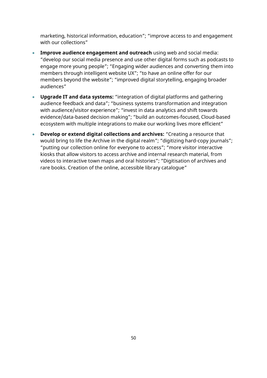marketing, historical information, education"; "improve access to and engagement with our collections"

- **Improve audience engagement and outreach** using web and social media: "develop our social media presence and use other digital forms such as podcasts to engage more young people"; "Engaging wider audiences and converting them into members through intelligent website UX"; "to have an online offer for our members beyond the website"; "improved digital storytelling, engaging broader audiences"
- **Upgrade IT and data systems:** "integration of digital platforms and gathering audience feedback and data"; "business systems transformation and integration with audience/visitor experience"; "invest in data analytics and shift towards evidence/data-based decision making"; "build an outcomes-focused, Cloud-based ecosystem with multiple integrations to make our working lives more efficient"
- **Develop or extend digital collections and archives:** "Creating a resource that would bring to life the Archive in the digital realm"; "digitizing hard-copy journals"; "putting our collection online for everyone to access"; "more visitor interactive kiosks that allow visitors to access archive and internal research material, from videos to interactive town maps and oral histories"; "Digitisation of archives and rare books. Creation of the online, accessible library catalogue"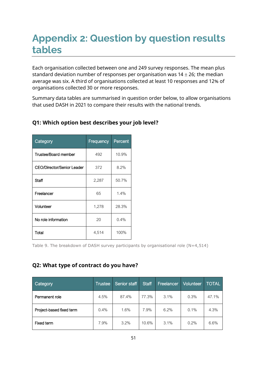# **Appendix 2: Question by question results tables**

Each organisation collected between one and 249 survey responses. The mean plus standard deviation number of responses per organisation was  $14 \pm 26$ ; the median average was six. A third of organisations collected at least 10 responses and 12% of organisations collected 30 or more responses.

Summary data tables are summarised in question order below, to allow organisations that used DASH in 2021 to compare their results with the national trends.

| Category                          | Frequency | Percent |
|-----------------------------------|-----------|---------|
| Trustee/Board member              | 492       | 10.9%   |
| <b>CEO/Director/Senior Leader</b> | 372       | 8.2%    |
| Staff                             | 2,287     | 50.7%   |
| Freelancer                        | 65        | 1.4%    |
| Volunteer                         | 1,278     | 28.3%   |
| No role information               | 20        | 0.4%    |
| Total                             | 4,514     | 100%    |

## **Q1: Which option best describes your job level?**

Table 9. The breakdown of DASH survey participants by organisational role (N=4,514)

#### **Q2: What type of contract do you have?**

| Category                 | <b>Trustee</b> | Senior staff | <b>Staff</b> | Freelancer | Volunteer | <b>TOTAL</b> |
|--------------------------|----------------|--------------|--------------|------------|-----------|--------------|
| Permanent role           | 4.5%           | 87.4%        | 77.3%        | 3.1%       | 0.3%      | 47.1%        |
| Project-based fixed term | 0.4%           | 1.6%         | 7.9%         | 6.2%       | 0.1%      | 4.3%         |
| Fixed term               | 7.9%           | 3.2%         | 10.6%        | 3.1%       | 0.2%      | 6.6%         |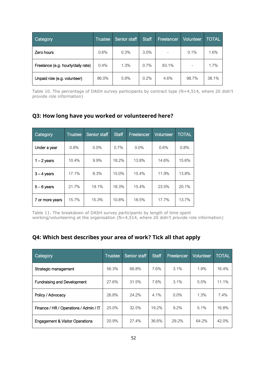| Category                           | Trustee | Senior staff | <b>Staff</b> | Freelancer | Volunteer | <b>TOTAL</b> |
|------------------------------------|---------|--------------|--------------|------------|-----------|--------------|
| Zero hours                         | 0.6%    | 0.3%         | 3.0%         |            | 0.1%      | 1.6%         |
| Freelance (e.g. hourly/daily rate) | 0.4%    | 1.3%         | 0.7%         | 83.1%      |           | 1.7%         |
| Unpaid role (e.g. volunteer)       | 86.0%   | 5.9%         | 0.2%         | 4.6%       | 98.7%     | 38.1%        |

Table 10. The percentage of DASH survey participants by contract type (N=4,514, where 20 didn't provide role information)

## **Q3: How long have you worked or volunteered here?**

| Category        | <b>Trustee</b> | Senior staff | <b>Staff</b> | Freelancer | <b>Volunteer</b> | <b>TOTAL</b> |
|-----------------|----------------|--------------|--------------|------------|------------------|--------------|
| Under a year    | 0.8%           | 0.0%         | 0.7%         | 0.0%       | 0.6%             | 0.8%         |
| $1 - 2$ years   | 10.4%          | 9.9%         | 18.2%        | 13.8%      | 14.6%            | 15.6%        |
| $3 - 4$ years   | 17.1%          | 8.3%         | 15.0%        | 15.4%      | 11.9%            | 13.8%        |
| $5 - 6$ years   | 21.7%          | 19.1%        | 18.3%        | 15.4%      | 23.5%            | 20.1%        |
| 7 or more years | 15.7%          | 15.3%        | 10.8%        | 18.5%      | 17.7%            | 13.7%        |

Table 11. The breakdown of DASH survey participants by length of time spent working/volunteering at the organisation  $(N=4,514$ , where 20 didn't provide role information)

## **Q4: Which best describes your area of work? Tick all that apply**

| Category                               | <b>Trustee</b> | Senior staff | <b>Staff</b> | Freelancer | Volunteer | <b>TOTAL</b> |
|----------------------------------------|----------------|--------------|--------------|------------|-----------|--------------|
| Strategic management                   | 56.3%          | 68.8%        | 7.6%         | 3.1%       | 1.9%      | 16.4%        |
| <b>Fundraising and Development</b>     | 27.6%          | 31.5%        | 7.6%         | 3.1%       | 5.5%      | 11.1%        |
| Policy / Advocacy                      | 26.8%          | 24.2%        | 4.1%         | $0.0\%$    | 1.3%      | 7.4%         |
| Finance / HR / Operations / Admin / IT | 25.0%          | 32.5%        | 19.2%        | 9.2%       | 5.1%      | 16.8%        |
| Engagement & Visitor Operations        | 20.9%          | 27.4%        | 36.6%        | 29.2%      | 64.2%     | 42.0%        |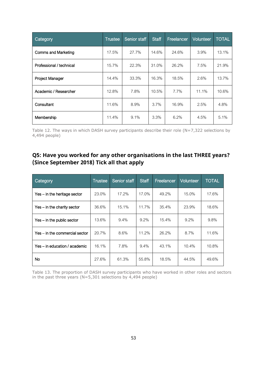| Category                   | Trustee | <b>Senior staff</b> | <b>Staff</b> | Freelancer | <b>Volunteer</b> | <b>TOTAL</b> |
|----------------------------|---------|---------------------|--------------|------------|------------------|--------------|
| <b>Comms and Marketing</b> | 17.5%   | 27.7%               | 14.6%        | 24.6%      | 3.9%             | 13.1%        |
| Professional / technical   | 15.7%   | 22.3%               | 31.0%        | 26.2%      | 7.5%             | 21.9%        |
| <b>Project Manager</b>     | 14.4%   | 33.3%               | 16.3%        | 18.5%      | 2.6%             | 13.7%        |
| Academic / Researcher      | 12.8%   | 7.8%                | 10.5%        | 7.7%       | 11.1%            | 10.6%        |
| Consultant                 | 11.6%   | 8.9%                | $3.7\%$      | 16.9%      | 2.5%             | 4.8%         |
| Membership                 | 11.4%   | 9.1%                | 3.3%         | 6.2%       | 4.5%             | 5.1%         |

Table 12. The ways in which DASH survey participants describe their role (N=7,322 selections by 4,494 people)

## **Q5: Have you worked for any other organisations in the last THREE years? (Since September 2018) Tick all that apply**

| Category                       | <b>Trustee</b> | Senior staff | <b>Staff</b> | Freelancer | <b>Volunteer</b> | <b>TOTAL</b> |
|--------------------------------|----------------|--------------|--------------|------------|------------------|--------------|
| Yes – in the heritage sector   | 23.0%          | 17.2%        | 17.0%        | 49.2%      | 15.0%            | 17.6%        |
| Yes – in the charity sector    | 36.6%          | 15.1%        | 11.7%        | 35.4%      | 23.9%            | 18.6%        |
| Yes - in the public sector     | 13.6%          | 9.4%         | 9.2%         | 15.4%      | 9.2%             | 9.8%         |
| Yes – in the commercial sector | 20.7%          | 8.6%         | 11.2%        | 26.2%      | 8.7%             | 11.6%        |
| Yes – in education / academic  | 16.1%          | 7.8%         | 9.4%         | 43.1%      | 10.4%            | 10.8%        |
| No                             | 27.6%          | 61.3%        | 55.8%        | 18.5%      | 44.5%            | 49.6%        |

Table 13. The proportion of DASH survey participants who have worked in other roles and sectors in the past three years (N=5,301 selections by 4,494 people)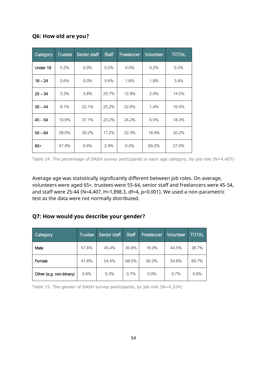#### **Q6: How old are you?**

| Category  | <b>Trustee</b> | <b>Senior staff</b> | <b>Staff</b> | Freelancer | <b>Volunteer</b> | <b>TOTAL</b> |
|-----------|----------------|---------------------|--------------|------------|------------------|--------------|
| Under 18  | 0.2%           | $0.0\%$             | 0.2%         | $0.0\%$    | 0.2%             | 0.2%         |
| $18 - 24$ | 0.6%           | $0.0\%$             | 5.6%         | 1.6%       | 1.8%             | 3.4%         |
| $25 - 34$ | 3.3%           | 3.8%                | 25.7%        | 12.9%      | 2.0%             | 14.5%        |
| $35 - 44$ | 9.1%           | 22.1%               | 25.2%        | 22.6%      | 1.4%             | 16.4%        |
| $45 - 54$ | 10.9%          | 37.1%               | 23.2%        | 24.2%      | 6.5%             | 18.3%        |
| $55 - 64$ | 28.0%          | 30.2%               | 17.2%        | 32.3%      | 18.9%            | 20.2%        |
| $65+$     | 47.9%          | 6.8%                | 2.9%         | 6.5%       | 69.2%            | 27.0%        |

Table 14. The percentage of DASH survey participants in each age category, by job role (N=4,407)

Average age was statistically significantly different between job roles. On average, volunteers were aged 65+, trustees were 55-64, senior staff and freelancers were 45-54, and staff were 25-44 (N=4,407, H=1,898.3, df=4, p<0.001). We used a non-parametric test as the data were not normally distributed.

## **Q7: How would you describe your gender?**

| Category                | Trustee | Senior staff | <b>Staff</b> | Freelancer | Volunteer | <b>TOTAL</b> |
|-------------------------|---------|--------------|--------------|------------|-----------|--------------|
| Male                    | 57.6%   | 45.4%        | 30.8%        | 18.0%      | 44.5%     | 38.7%        |
| Female                  | 41.8%   | 54.4%        | 68.5%        | 82.0%      | 54.8%     | 60.7%        |
| Other (e.g. non-binary) | 0.6%    | 0.3%         | 0.7%         | 0.0%       | 0.7%      | 0.6%         |

Table 15. The gender of DASH survey participants, by job role (N=4,324)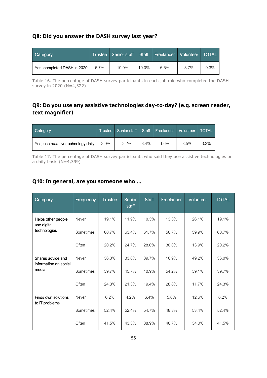#### **Q8: Did you answer the DASH survey last year?**

| <b>Category</b>             |         | Trustee Senior staff Staff Freelancer   Volunteer   TOTAL |       |      |      |      |
|-----------------------------|---------|-----------------------------------------------------------|-------|------|------|------|
| Yes, completed DASH in 2020 | $6.7\%$ | 10.9%                                                     | 10.0% | 6.5% | 8.7% | 9.3% |

Table 16. The percentage of DASH survey participants in each job role who completed the DASH survey in 2020 (N=4,322)

## **Q9: Do you use any assistive technologies day-to-day? (e.g. screen reader, text magnifier)**

| Category                            | <sup>'</sup> Trustee | Senior staff Staff Freelancer Volunteer |      |      |      | <b>TOTAL</b> |
|-------------------------------------|----------------------|-----------------------------------------|------|------|------|--------------|
| Yes, use assistive technology daily | 2.9%                 | $2.2\%$                                 | 3.4% | 1.6% | 3.5% | $3.3\%$      |

Table 17. The percentage of DASH survey participants who said they use assistive technologies on a daily basis  $(N=4,399)$ 

#### **Q10: In general, are you someone who …**

| Category                                            | Frequency | <b>Trustee</b> | Senior<br>staff | <b>Staff</b> | Freelancer | <b>Volunteer</b> | <b>TOTAL</b> |
|-----------------------------------------------------|-----------|----------------|-----------------|--------------|------------|------------------|--------------|
| Helps other people<br>use digital<br>technologies   | Never     | 19.1%          | 11.9%           | 10.3%        | 13.3%      | 26.1%            | 19.1%        |
|                                                     | Sometimes | 60.7%          | 63.4%           | 61.7%        | 56.7%      | 59.9%            | 60.7%        |
|                                                     | Often     | 20.2%          | 24.7%           | 28.0%        | 30.0%      | 13.9%            | 20.2%        |
| Shares advice and<br>information on social<br>media | Never     | 36.0%          | 33.0%           | 39.7%        | 16.9%      | 49.2%            | 36.0%        |
|                                                     | Sometimes | 39.7%          | 45.7%           | 40.9%        | 54.2%      | 39.1%            | 39.7%        |
|                                                     | Often     | 24.3%          | 21.3%           | 19.4%        | 28.8%      | 11.7%            | 24.3%        |
| Finds own solutions<br>to IT problems               | Never     | 6.2%           | 4.2%            | 6.4%         | 5.0%       | 12.6%            | 6.2%         |
|                                                     | Sometimes | 52.4%          | 52.4%           | 54.7%        | 48.3%      | 53.4%            | 52.4%        |
|                                                     | Often     | 41.5%          | 43.3%           | 38.9%        | 46.7%      | 34.0%            | 41.5%        |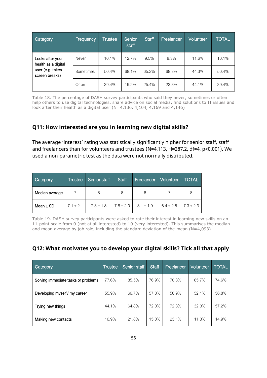| Category                                                                      | Frequency    | <b>Trustee</b> | Senior<br>staff | <b>Staff</b> | Freelancer | <b>Volunteer</b> | <b>TOTAL</b> |
|-------------------------------------------------------------------------------|--------------|----------------|-----------------|--------------|------------|------------------|--------------|
| Looks after your<br>health as a digital<br>user (e.g. takes<br>screen breaks) | <b>Never</b> | 10.1%          | 12.7%           | 9.5%         | 8.3%       | 11.6%            | 10.1%        |
|                                                                               | Sometimes    | 50.4%          | 68.1%           | 65.2%        | 68.3%      | 44.3%            | 50.4%        |
|                                                                               | Often        | 39.4%          | 19.2%           | 25.4%        | 23.3%      | 44.1%            | 39.4%        |

Table 18. The percentage of DASH survey participants who said they never, sometimes or often help others to use digital technologies, share advice on social media, find solutions to IT issues and look after their health as a digital user (N=4,136, 4,104, 4,169 and 4,146)

#### **Q11: How interested are you in learning new digital skills?**

The average 'interest' rating was statistically significantly higher for senior staff, staff and freelancers than for volunteers and trustees (N=4,113, H=287.2, df=4, p<0.001). We used a non-parametric test as the data were not normally distributed.

| Category       | <b>Trustee</b> | Senior staff  | <b>Staff</b>  | <b>Freelancer</b> | Volunteer     | TOTAL       |
|----------------|----------------|---------------|---------------|-------------------|---------------|-------------|
| Median average |                | 8             |               |                   |               | 8           |
| Mean $\pm$ SD  | $7.1 \pm 2.1$  | $7.8 \pm 1.8$ | $7.8 \pm 2.0$ | $8.1 \pm 1.9$     | $6.4 \pm 2.5$ | $7.3 + 2.3$ |

Table 19. DASH survey participants were asked to rate their interest in learning new skills on an 11-point scale from 0 (not at all interested) to 10 (very interested). This summarises the median and mean average by job role, including the standard deviation of the mean (N=4,093)

#### **Q12: What motivates you to develop your digital skills? Tick all that apply**

| <b>Category</b>                     | Trustee | Senior staff | <b>Staff</b> | Freelancer | Volunteer | <b>TOTAL</b> |
|-------------------------------------|---------|--------------|--------------|------------|-----------|--------------|
| Solving immediate tasks or problems | 77.6%   | 85.5%        | 76.9%        | 70.8%      | 65.7%     | 74.6%        |
| Developing myself / my career       | 55.9%   | 66.7%        | 57.8%        | 56.9%      | 52.1%     | 56.8%        |
| Trying new things                   | 44.1%   | 64.8%        | 72.0%        | 72.3%      | 32.3%     | 57.2%        |
| Making new contacts                 | 16.9%   | 21.8%        | 15.0%        | 23.1%      | 11.3%     | 14.9%        |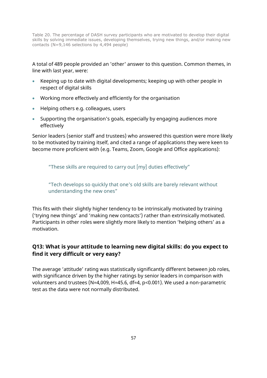Table 20. The percentage of DASH survey participants who are motivated to develop their digital skills by solving immediate issues, developing themselves, trying new things, and/or making new contacts (N=9,146 selections by 4,494 people)

A total of 489 people provided an 'other' answer to this question. Common themes, in line with last year, were:

- Keeping up to date with digital developments; keeping up with other people in respect of digital skills
- Working more effectively and efficiently for the organisation
- Helping others e.g. colleagues, users
- Supporting the organisation's goals, especially by engaging audiences more effectively

Senior leaders (senior staff and trustees) who answered this question were more likely to be motivated by training itself, and cited a range of applications they were keen to become more proficient with (e.g. Teams, Zoom, Google and Office applications):

"These skills are required to carry out [my] duties effectively"

"Tech develops so quickly that one's old skills are barely relevant without understanding the new ones"

This fits with their slightly higher tendency to be intrinsically motivated by training ('trying new things' and 'making new contacts') rather than extrinsically motivated. Participants in other roles were slightly more likely to mention 'helping others' as a motivation.

## **Q13: What is your attitude to learning new digital skills: do you expect to find it very difficult or very easy?**

The average 'attitude' rating was statistically significantly different between job roles, with significance driven by the higher ratings by senior leaders in comparison with volunteers and trustees (N=4,009, H=45.6, df=4, p<0.001). We used a non-parametric test as the data were not normally distributed.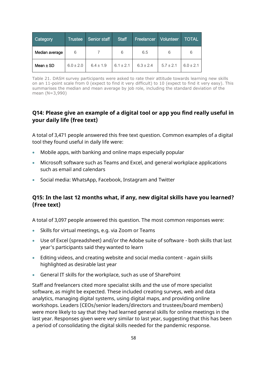| <b>Category</b> | <b>Trustee</b> | Senior staff  | <b>Staff</b><br><b>Freelancer</b> |             | Volunteer     | <b>TOTAL</b>  |
|-----------------|----------------|---------------|-----------------------------------|-------------|---------------|---------------|
| Median average  | 6              |               | 6                                 | 6.5         | 6             | 6             |
| Mean $\pm$ SD   | $6.0 \pm 2.0$  | $6.4 \pm 1.9$ | $6.1 \pm 2.1$                     | $6.3 + 2.4$ | $5.7 \pm 2.1$ | $6.0 \pm 2.1$ |

Table 21. DASH survey participants were asked to rate their attitude towards learning new skills on an 11-point scale from 0 (expect to find it very difficult) to 10 (expect to find it very easy). This summarises the median and mean average by job role, including the standard deviation of the mean (N=3,990)

## **Q14: Please give an example of a digital tool or app you find really useful in your daily life (free text)**

A total of 3,471 people answered this free text question. Common examples of a digital tool they found useful in daily life were:

- Mobile apps, with banking and online maps especially popular
- Microsoft software such as Teams and Excel, and general workplace applications such as email and calendars
- Social media: WhatsApp, Facebook, Instagram and Twitter

#### **Q15: In the last 12 months what, if any, new digital skills have you learned? (Free text)**

A total of 3,097 people answered this question. The most common responses were:

- Skills for virtual meetings, e.g. via Zoom or Teams
- Use of Excel (spreadsheet) and/or the Adobe suite of software both skills that last year's participants said they wanted to learn
- Editing videos, and creating website and social media content again skills highlighted as desirable last year
- General IT skills for the workplace, such as use of SharePoint

Staff and freelancers cited more specialist skills and the use of more specialist software, as might be expected. These included creating surveys, web and data analytics, managing digital systems, using digital maps, and providing online workshops. Leaders (CEOs/senior leaders/directors and trustees/board members) were more likely to say that they had learned general skills for online meetings in the last year. Responses given were very similar to last year, suggesting that this has been a period of consolidating the digital skills needed for the pandemic response.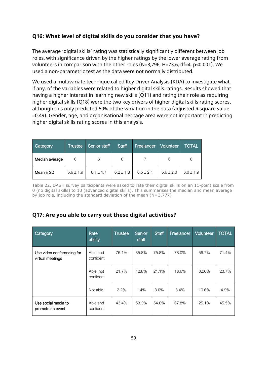#### **Q16: What level of digital skills do you consider that you have?**

The average 'digital skills' rating was statistically significantly different between job roles, with significance driven by the higher ratings by the lower average rating from volunteers in comparison with the other roles (N=3,796, H=73.6, df=4, p<0.001). We used a non-parametric test as the data were not normally distributed.

We used a multivariate technique called Key Driver Analysis (KDA) to investigate what, if any, of the variables were related to higher digital skills ratings. Results showed that having a higher interest in learning new skills (Q11) and rating their role as requiring higher digital skills (Q18) were the two key drivers of higher digital skills rating scores, although this only predicted 50% of the variation in the data (adjusted R square value =0.49). Gender, age, and organisational heritage area were not important in predicting higher digital skills rating scores in this analysis.

| Category       | Trustee       | <b>Staff</b><br>Senior staff |               | <b>Freelancer</b> | Volunteer     | <b>TOTAL</b>  |
|----------------|---------------|------------------------------|---------------|-------------------|---------------|---------------|
| Median average | 6             | 6                            | 6             |                   | 6             | 6             |
| Mean $\pm$ SD  | $5.9 \pm 1.9$ | $6.1 \pm 1.7$                | $6.2 \pm 1.8$ | $6.5 \pm 2.1$     | $5.6 \pm 2.0$ | $6.0 \pm 1.9$ |

Table 22. DASH survey participants were asked to rate their digital skills on an 11-point scale from 0 (no digital skills) to 10 (advanced digital skills). This summarises the median and mean average by job role, including the standard deviation of the mean  $(N=3,777)$ 

## **Q17: Are you able to carry out these digital activities?**

| Category                                       | Rate<br>ability        | Trustee | Senior<br>staff | <b>Staff</b> | Freelancer | <b>Volunteer</b> | <b>TOTAL</b> |
|------------------------------------------------|------------------------|---------|-----------------|--------------|------------|------------------|--------------|
| Use video conferencing for<br>virtual meetings | Able and<br>confident  | 76.1%   | 85.8%           | 75.8%        | 78.0%      | 56.7%            | 71.4%        |
|                                                | Able, not<br>confident | 21.7%   | 12.8%           | 21.1%        | 18.6%      | 32.6%            | 23.7%        |
|                                                | Not able               | 2.2%    | 1.4%            | 3.0%         | 3.4%       | 10.6%            | 4.9%         |
| Use social media to<br>promote an event        | Able and<br>confident  | 43.4%   | 53.3%           | 54.6%        | 67.8%      | 25.1%            | 45.5%        |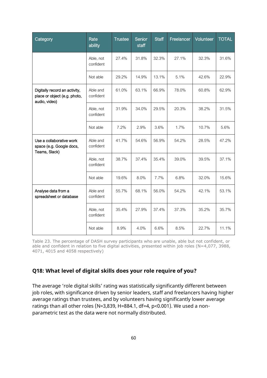| Category                                                                       | Rate<br>ability        | <b>Trustee</b> | <b>Senior</b><br>staff | <b>Staff</b> | Freelancer | Volunteer | <b>TOTAL</b> |
|--------------------------------------------------------------------------------|------------------------|----------------|------------------------|--------------|------------|-----------|--------------|
|                                                                                | Able, not<br>confident | 27.4%          | 31.8%                  | 32.3%        | 27.1%      | 32.3%     | 31.6%        |
|                                                                                | Not able               | 29.2%          | 14.9%                  | 13.1%        | 5.1%       | 42.6%     | 22.9%        |
| Digitally record an activity,<br>place or object (e.g. photo,<br>audio, video) | Able and<br>confident  | 61.0%          | 63.1%                  | 66.9%        | 78.0%      | 60.8%     | 62.9%        |
|                                                                                | Able, not<br>confident | 31.9%          | 34.0%                  | 29.5%        | 20.3%      | 38.2%     | 31.5%        |
|                                                                                | Not able               | 7.2%           | 2.9%                   | 3.6%         | 1.7%       | 10.7%     | 5.6%         |
| Use a collaborative work<br>space (e.g. Google docs,<br>Teams, Slack)          | Able and<br>confident  | 41.7%          | 54.6%                  | 56.9%        | 54.2%      | 28.5%     | 47.2%        |
|                                                                                | Able, not<br>confident | 38.7%          | 37.4%                  | 35.4%        | 39.0%      | 39.5%     | 37.1%        |
|                                                                                | Not able               | 19.6%          | 8.0%                   | 7.7%         | 6.8%       | 32.0%     | 15.6%        |
| Analyse data from a<br>spreadsheet or database                                 | Able and<br>confident  | 55.7%          | 68.1%                  | 56.0%        | 54.2%      | 42.1%     | 53.1%        |
|                                                                                | Able, not<br>confident | 35.4%          | 27.9%                  | 37.4%        | 37.3%      | 35.2%     | 35.7%        |
|                                                                                | Not able               | 8.9%           | 4.0%                   | 6.6%         | 8.5%       | 22.7%     | 11.1%        |

Table 23. The percentage of DASH survey participants who are unable, able but not confident, or able and confident in relation to five digital activities, presented within job roles (N=4,077, 3988, 4071, 4015 and 4058 respectively)

## **Q18: What level of digital skills does your role require of you?**

The average 'role digital skills' rating was statistically significantly different between job roles, with significance driven by senior leaders, staff and freelancers having higher average ratings than trustees, and by volunteers having significantly lower average ratings than all other roles (N=3,839, H=884.1, df=4, p<0.001). We used a nonparametric test as the data were not normally distributed.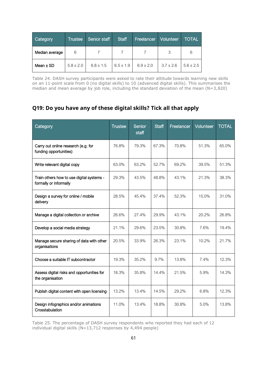| Category       | <b>Trustee</b> | Senior staff  | <b>Staff</b>  | <b>Freelancer</b> | Volunteer,    | <b>TOTAL</b>  |
|----------------|----------------|---------------|---------------|-------------------|---------------|---------------|
| Median average | 6              |               |               |                   | հ             | 6             |
| Mean $\pm$ SD  | $5.8 \pm 2.0$  | $6.8 \pm 1.5$ | $6.5 \pm 1.9$ | $6.9 \pm 2.0$     | $3.7 \pm 2.6$ | $5.6 \pm 2.5$ |

Table 24. DASH survey participants were asked to rate their attitude towards learning new skills on an 11-point scale from 0 (no digital skills) to 10 (advanced digital skills). This summarises the median and mean average by job role, including the standard deviation of the mean (N=3,820)

## **Q19: Do you have any of these digital skills? Tick all that apply**

| Category                                                            | <b>Trustee</b> | Senior<br>staff | <b>Staff</b> | Freelancer | Volunteer | <b>TOTAL</b> |
|---------------------------------------------------------------------|----------------|-----------------|--------------|------------|-----------|--------------|
| Carry out online research (e.g. for<br>funding opportunities)       | 76.8%          | 79.3%           | 67.3%        | 70.8%      | 51.3%     | 65.0%        |
| Write relevant digital copy                                         | 63.0%          | 63.2%           | 52.7%        | 69.2%      | 39.5%     | 51.3%        |
| Train others how to use digital systems -<br>formally or informally | 29.3%          | 43.5%           | 48.8%        | 43.1%      | 21.3%     | 38.3%        |
| Design a survey for online / mobile<br>delivery                     | 28.5%          | 45.4%           | 37.4%        | 52.3%      | 15.0%     | 31.0%        |
| Manage a digital collection or archive                              | 26.6%          | 27.4%           | 29.9%        | 43.1%      | 20.2%     | 26.8%        |
| Develop a social media strategy                                     | 21.1%          | 29.6%           | 23.5%        | 30.8%      | 7.6%      | 19.4%        |
| Manage secure sharing of data with other<br>organisations           | 20.5%          | 33.9%           | 26.3%        | 23.1%      | 10.2%     | 21.7%        |
| Choose a suitable IT subcontractor                                  | 19.3%          | 35.2%           | 9.7%         | 13.8%      | 7.4%      | 12.3%        |
| Assess digital risks and opportunities for<br>the organisation      | 18.3%          | 35.8%           | 14.4%        | 21.5%      | 5.9%      | 14.3%        |
| Publish digital content with open licensing                         | 13.2%          | 13.4%           | 14.5%        | 29.2%      | 6.8%      | 12.3%        |
| Design infographics and/or animations<br>Crosstabulation            | 11.0%          | 13.4%           | 18.8%        | 30.8%      | 5.0%      | 13.8%        |

Table 25. The percentage of DASH survey respondents who reported they had each of 12 individual digital skills (N=13,712 responses by 4,494 people)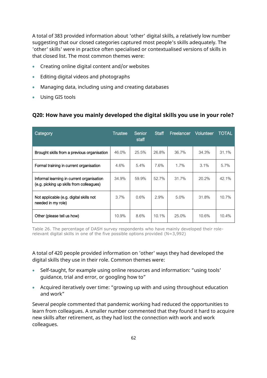A total of 383 provided information about 'other' digital skills, a relatively low number suggesting that our closed categories captured most people's skills adequately. The 'other' skills' were in practice often specialised or contextualised versions of skills in that closed list. The most common themes were:

- Creating online digital content and/or websites
- Editing digital videos and photographs
- Managing data, including using and creating databases
- Using GIS tools

#### **Q20: How have you mainly developed the digital skills you use in your role?**

| Category                                                                              | <b>Trustee</b> | Senior<br>staff | <b>Staff</b> | Freelancer | Volunteer | <b>TOTAL</b> |
|---------------------------------------------------------------------------------------|----------------|-----------------|--------------|------------|-----------|--------------|
| Brought skills from a previous organisation                                           | 46.0%          | 25.5%           | 26.8%        | 36.7%      | 34.3%     | 31.1%        |
| Formal training in current organisation                                               | 4.6%           | 5.4%            | 7.6%         | $1.7\%$    | 3.1%      | 5.7%         |
| Informal learning in current organisation<br>(e.g. picking up skills from colleagues) | 34.9%          | 59.9%           | 52.7%        | 31.7%      | 20.2%     | 42.1%        |
| Not applicable (e.g. digital skills not<br>needed in my role)                         | 3.7%           | 0.6%            | 2.9%         | 5.0%       | 31.8%     | 10.7%        |
| Other (please tell us how)                                                            | 10.9%          | 8.6%            | 10.1%        | 25.0%      | 10.6%     | 10.4%        |

Table 26. The percentage of DASH survey respondents who have mainly developed their rolerelevant digital skills in one of the five possible options provided (N=3,992)

A total of 420 people provided information on 'other' ways they had developed the digital skills they use in their role. Common themes were:

- Self-taught, for example using online resources and information: "using tools' guidance, trial and error, or googling how to"
- Acquired iteratively over time: "growing up with and using throughout education and work"

Several people commented that pandemic working had reduced the opportunities to learn from colleagues. A smaller number commented that they found it hard to acquire new skills after retirement, as they had lost the connection with work and work colleagues.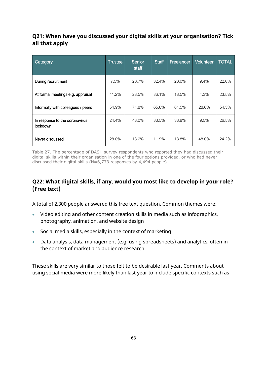## **Q21: When have you discussed your digital skills at your organisation? Tick all that apply**

| Category                                   | <b>Trustee</b> | Senior<br>staff | <b>Staff</b> | Freelancer | <b>Volunteer</b> | <b>TOTAL</b> |
|--------------------------------------------|----------------|-----------------|--------------|------------|------------------|--------------|
| During recruitment                         | 7.5%           | 20.7%           | 32.4%        | 20.0%      | 9.4%             | 22.0%        |
| At formal meetings e.g. appraisal          | 11.2%          | 28.5%           | 36.1%        | 18.5%      | 4.3%             | 23.5%        |
| Informally with colleagues / peers         | 54.9%          | 71.8%           | 65.6%        | 61.5%      | 28.6%            | 54.5%        |
| In response to the coronavirus<br>lockdown | 24.4%          | 43.0%           | 33.5%        | 33.8%      | 9.5%             | 26.5%        |
| Never discussed                            | 28.0%          | 13.2%           | 11.9%        | 13.8%      | 48.0%            | 24.2%        |

Table 27. The percentage of DASH survey respondents who reported they had discussed their digital skills within their organisation in one of the four options provided, or who had never discussed their digital skills (N=6,773 responses by 4,494 people)

## **Q22: What digital skills, if any, would you most like to develop in your role? (Free text)**

A total of 2,300 people answered this free text question. Common themes were:

- Video editing and other content creation skills in media such as infographics, photography, animation, and website design
- Social media skills, especially in the context of marketing
- Data analysis, data management (e.g. using spreadsheets) and analytics, often in the context of market and audience research

These skills are very similar to those felt to be desirable last year. Comments about using social media were more likely than last year to include specific contexts such as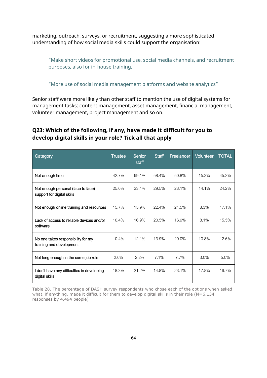marketing, outreach, surveys, or recruitment, suggesting a more sophisticated understanding of how social media skills could support the organisation:

"Make short videos for promotional use, social media channels, and recruitment purposes, also for in-house training."

"More use of social media management platforms and website analytics"

Senior staff were more likely than other staff to mention the use of digital systems for management tasks: content management, asset management, financial management, volunteer management, project management and so on.

#### **Q23: Which of the following, if any, have made it difficult for you to develop digital skills in your role? Tick all that apply**

| Category                                                         | Trustee | Senior<br>staff | <b>Staff</b> | Freelancer | <b>Volunteer</b> | <b>TOTAL</b> |
|------------------------------------------------------------------|---------|-----------------|--------------|------------|------------------|--------------|
| Not enough time                                                  | 42.7%   | 69.1%           | 58.4%        | 50.8%      | 15.3%            | 45.3%        |
| Not enough personal (face to face)<br>support for digital skills | 25.6%   | 23.1%           | 29.5%        | 23.1%      | 14.1%            | 24.2%        |
| Not enough online training and resources                         | 15.7%   | 15.9%           | 22.4%        | 21.5%      | 8.3%             | 17.1%        |
| Lack of access to reliable devices and/or<br>software            | 10.4%   | 16.9%           | 20.5%        | 16.9%      | 8.1%             | 15.5%        |
| No one takes responsibility for my<br>training and development   | 10.4%   | 12.1%           | 13.9%        | 20.0%      | 10.8%            | 12.6%        |
| Not long enough in the same job role                             | 2.0%    | 2.2%            | 7.1%         | 7.7%       | 3.0%             | 5.0%         |
| I don't have any difficulties in developing<br>digital skills    | 18.3%   | 21.2%           | 14.8%        | 23.1%      | 17.8%            | 16.7%        |

Table 28. The percentage of DASH survey respondents who chose each of the options when asked what, if anything, made it difficult for them to develop digital skills in their role ( $N=6,134$ responses by 4,494 people)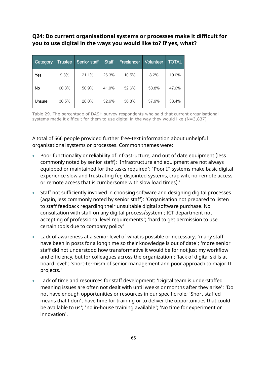#### **Q24: Do current organisational systems or processes make it difficult for you to use digital in the ways you would like to? If yes, what?**

| Category | <b>Trustee</b> | Senior staff | <b>Staff</b> | Freelancer | <b>Volunteer</b> | <b>TOTAL</b> |
|----------|----------------|--------------|--------------|------------|------------------|--------------|
| Yes      | 9.3%           | 21.1%        | 26.3%        | 10.5%      | 8.2%             | 19.0%        |
| No       | 60.3%          | 50.9%        | 41.0%        | 52.6%      | 53.8%            | 47.6%        |
| Unsure   | 30.5%          | 28.0%        | 32.6%        | 36.8%      | 37.9%            | 33.4%        |

Table 29. The percentage of DASH survey respondents who said that current organisational systems made it difficult for them to use digital in the way they would like  $(N=3,837)$ 

A total of 666 people provided further free-text information about unhelpful organisational systems or processes. Common themes were:

- Poor functionality or reliability of infrastructure, and out of date equipment (less commonly noted by senior staff): 'Infrastructure and equipment are not always equipped or maintained for the tasks required'; 'Poor IT systems make basic digital experience slow and frustrating (eg disjointed systems, crap wifi, no-remote access or remote access that is cumbersome with slow load times).'
- Staff not sufficiently involved in choosing software and designing digital processes (again, less commonly noted by senior staff): 'Organisation not prepared to listen to staff feedback regarding their unsuitable digital software purchase. No consultation with staff on any digital process/system'; ICT department not accepting of professional level requirements'; 'hard to get permission to use certain tools due to company policy'
- Lack of awareness at a senior level of what is possible or necessary: 'many staff have been in posts for a long time so their knowledge is out of date'; 'more senior staff did not understood how transformative it would be for not just my workflow and efficiency, but for colleagues across the organization'; 'lack of digital skills at board level'; 'short-termism of senior management and poor approach to major IT projects.'
- Lack of time and resources for staff development: 'Digital team is understaffed meaning issues are often not dealt with until weeks or months after they arise'; 'Do not have enough opportunities or resources in our specific role; 'Short staffed means that I don't have time for training or to deliver the opportunities that could be available to us'; 'no in-house training available'; 'No time for experiment or innovation'.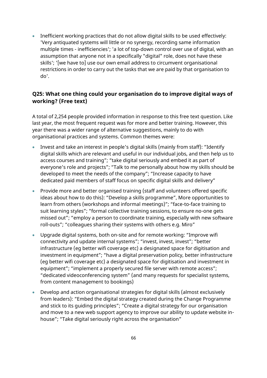• Inefficient working practices that do not allow digital skills to be used effectively: 'Very antiquated systems will little or no synergy, recording same information multiple times - inefficiencies'; 'a lot of top-down control over use of digital, with an assumption that anyone not in a specifically "digital" role, does not have these skills'; '[we have to] use our own email address to circumvent organisational restrictions in order to carry out the tasks that we are paid by that organisation to do'.

## **Q25: What one thing could your organisation do to improve digital ways of working? (Free text)**

A total of 2,254 people provided information in response to this free text question. Like last year, the most frequent request was for more and better training. However, this year there was a wider range of alternative suggestions, mainly to do with organisational practices and systems. Common themes were:

- Invest and take an interest in people's digital skills (mainly from staff): "Identify digital skills which are relevant and useful in our individual jobs, and then help us to access courses and training"; "take digital seriously and embed it as part of everyone's role and projects"; "Talk to me personally about how my skills should be developed to meet the needs of the company"; "Increase capacity to have dedicated paid members of staff focus on specific digital skills and delivery"
- Provide more and better organised training (staff and volunteers offered specific ideas about how to do this): "Develop a skills programme", More opportunities to learn from others (workshops and informal meetings)"; "face-to-face training to suit learning styles"; "formal collective training sessions, to ensure no-one gets missed out"; "employ a person to coordinate training, especially with new software roll-outs"; "colleagues sharing their systems with others e.g. Miro"
- Upgrade digital systems, both on-site and for remote working: "Improve wifi connectivity and update internal systems"; "invest, invest, invest"; "better infrastructure (eg better wifi coverage etc) a designated space for digitisation and investment in equipment"; "have a digital preservation policy, better infrastructure (eg better wifi coverage etc) a designated space for digitisation and investment in equipment"; "implement a properly secured file server with remote access"; "dedicated videoconferencing system" (and many requests for specialist systems, from content management to bookings)
- Develop and action organisational strategies for digital skills (almost exclusively from leaders): "Embed the digital strategy created during the Change Programme and stick to its guiding principles"; "Create a digital strategy for our organisation and move to a new web support agency to improve our ability to update website inhouse"; "Take digital seriously right across the organisation"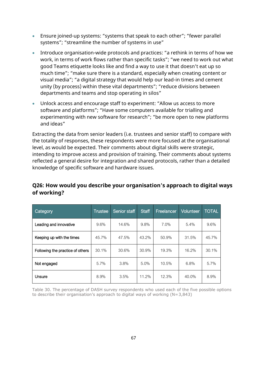- Ensure joined-up systems: "systems that speak to each other"; "fewer parallel systems"; "streamline the number of systems in use"
- Introduce organisation-wide protocols and practices: "a rethink in terms of how we work, in terms of work flows rather than specific tasks"; "we need to work out what good Teams etiquette looks like and find a way to use it that doesn't eat up so much time"; "make sure there is a standard, especially when creating content or visual media"; "a digital strategy that would help our lead-in times and cement unity (by process) within these vital departments"; "reduce divisions between departments and teams and stop operating in silos"
- Unlock access and encourage staff to experiment: "Allow us access to more software and platforms"; "Have some computers available for trialling and experimenting with new software for research"; "be more open to new platforms and ideas"

Extracting the data from senior leaders (i.e. trustees and senior staff) to compare with the totality of responses, these respondents were more focused at the organisational level, as would be expected. Their comments about digital skills were strategic, intending to improve access and provision of training. Their comments about systems reflected a general desire for integration and shared protocols, rather than a detailed knowledge of specific software and hardware issues.

| Category                         | Trustee | Senior staff | <b>Staff</b> | Freelancer | <b>Volunteer</b> | <b>TOTAL</b> |
|----------------------------------|---------|--------------|--------------|------------|------------------|--------------|
| Leading and innovative           | 9.6%    | 14.6%        | 9.8%         | 7.0%       | 5.4%             | 9.6%         |
| Keeping up with the times        | 45.7%   | 47.5%        | 43.2%        | 50.9%      | 31.5%            | 45.7%        |
| Following the practice of others | 30.1%   | 30.6%        | 30.9%        | 19.3%      | 16.2%            | 30.1%        |
| Not engaged                      | 5.7%    | 3.8%         | 5.0%         | 10.5%      | 6.8%             | 5.7%         |
| Unsure                           | 8.9%    | 3.5%         | 11.2%        | 12.3%      | 40.0%            | 8.9%         |

## **Q26: How would you describe your organisation's approach to digital ways of working?**

Table 30. The percentage of DASH survey respondents who used each of the five possible options to describe their organisation's approach to digital ways of working (N=3,843)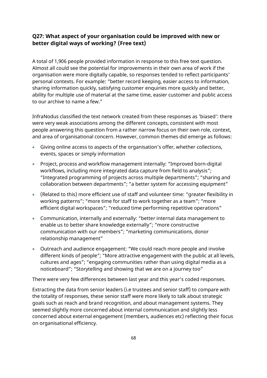#### **Q27: What aspect of your organisation could be improved with new or better digital ways of working? (Free text)**

A total of 1,906 people provided information in response to this free text question. Almost all could see the potential for improvements in their own area of work if the organisation were more digitally capable, so responses tended to reflect participants' personal contexts. For example: "better record keeping, easier access to information, sharing information quickly, satisfying customer enquiries more quickly and better, ability for multiple use of material at the same time, easier customer and public access to our archive to name a few."

InfraNodus classified the text network created from these responses as 'biased': there were very weak associations among the different concepts, consistent with most people answering this question from a rather narrow focus on their own role, context, and area of organisational concern. However, common themes did emerge as follows:

- Giving online access to aspects of the organisation's offer, whether collections, events, spaces or simply information
- Project, process and workflow management internally: "Improved born-digital workflows, including more integrated data capture from field to analysis"; "Integrated programming of projects across multiple departments"; "sharing and collaboration between departments"; "a better system for accessing equipment"
- (Related to this) more efficient use of staff and volunteer time: "greater flexibility in working patterns"; "more time for staff to work together as a team"; "more efficient digital workspaces"; "reduced time performing repetitive operations"
- Communication, internally and externally: "better internal data management to enable us to better share knowledge externally"; "more constructive communication with our members"; "marketing communications, donor relationship management"
- Outreach and audience engagement: "We could reach more people and involve different kinds of people"; "More attractive engagement with the public at all levels, cultures and ages"; "engaging communities rather than using digital media as a noticeboard"; "Storytelling and showing that we are on a journey too"

There were very few differences between last year and this year's coded responses.

Extracting the data from senior leaders (i.e trustees and senior staff) to compare with the totality of responses, these senior staff were more likely to talk about strategic goals such as reach and brand recognition, and about management systems. They seemed slightly more concerned about internal communication and slightly less concerned about external engagement (members, audiences etc) reflecting their focus on organisational efficiency.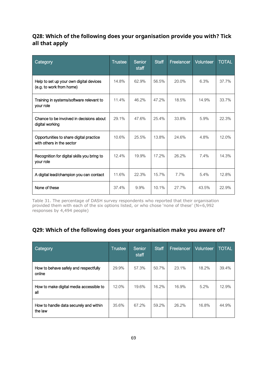## **Q28: Which of the following does your organisation provide you with? Tick all that apply**

| Category                                                             | <b>Trustee</b> | Senior<br>staff | <b>Staff</b> | Freelancer | <b>Volunteer</b> | <b>TOTAL</b> |
|----------------------------------------------------------------------|----------------|-----------------|--------------|------------|------------------|--------------|
| Help to set up your own digital devices<br>(e.g. to work from home)  | 14.8%          | 62.9%           | 56.5%        | 20.0%      | 6.3%             | 37.7%        |
| Training in systems/software relevant to<br>your role                | 11.4%          | 46.2%           | 47.2%        | 18.5%      | 14.9%            | 33.7%        |
| Chance to be involved in decisions about<br>digital working          | 29.1%          | 47.6%           | 25.4%        | 33.8%      | 5.9%             | 22.3%        |
| Opportunities to share digital practice<br>with others in the sector | 10.6%          | 25.5%           | 13.8%        | 24.6%      | 4.8%             | 12.0%        |
| Recognition for digital skills you bring to<br>your role             | 12.4%          | 19.9%           | 17.2%        | 26.2%      | 7.4%             | 14.3%        |
| A digital lead/champion you can contact                              | 11.6%          | 22.3%           | 15.7%        | 7.7%       | 5.4%             | 12.8%        |
| None of these                                                        | 37.4%          | 9.9%            | 10.1%        | 27.7%      | 43.5%            | 22.9%        |

Table 31. The percentage of DASH survey respondents who reported that their organisation provided them with each of the six options listed, or who chose 'none of these' ( $N=6,992$ responses by 4,494 people)

## **Q29: Which of the following does your organisation make you aware of?**

| Category                                          | <b>Trustee</b> | Senior<br>staff | <b>Staff</b> | Freelancer | <b>Volunteer</b> | <b>TOTAL</b> |
|---------------------------------------------------|----------------|-----------------|--------------|------------|------------------|--------------|
| How to behave safely and respectfully<br>online   | 29.9%          | 57.3%           | 50.7%        | 23.1%      | 18.2%            | 39.4%        |
| How to make digital media accessible to<br>all    | 12.0%          | 19.6%           | 16.2%        | 16.9%      | $5.2\%$          | 12.9%        |
| How to handle data securely and within<br>the law | 35.6%          | 67.2%           | 59.2%        | 26.2%      | 16.8%            | 44.9%        |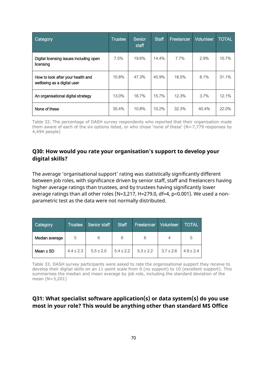| Category                                                         | <b>Trustee</b> | Senior<br>staff | <b>Staff</b> | Freelancer | <b>Volunteer</b> | <b>TOTAL</b> |
|------------------------------------------------------------------|----------------|-----------------|--------------|------------|------------------|--------------|
| Digital licensing issues including open<br>licensing             | 7.5%           | 19.6%           | 14.4%        | 7.7%       | 2.9%             | 10.7%        |
| How to look after your health and<br>wellbeing as a digital user | 10.8%          | 47.3%           | 45.9%        | 18.5%      | 8.1%             | 31.1%        |
| An organisational digital strategy                               | 13.0%          | 16.7%           | 15.7%        | 12.3%      | $3.7\%$          | 12.1%        |
| None of these                                                    | 35.4%          | 10.8%           | 10.2%        | 32.3%      | 40.4%            | 22.0%        |

Table 32. The percentage of DASH survey respondents who reported that their organisation made them aware of each of the six options listed, or who chose 'none of these' ( $N=7,779$  responses by 4,494 people)

#### **Q30: How would you rate your organisation's support to develop your digital skills?**

The average 'organisational support' rating was statistically significantly different between job roles, with significance driven by senior staff, staff and freelancers having higher average ratings than trustees, and by trustees having significantly lower average ratings than all other roles (N=3,217, H=279.0, df=4, p<0.001). We used a nonparametric test as the data were not normally distributed.

| <b>Category</b> | <b>Trustee</b> | Senior staff  | <b>Staff</b>  | Freelancer    | <b>Volunteer</b> | TOTAL         |
|-----------------|----------------|---------------|---------------|---------------|------------------|---------------|
| Median average  | 5              | 6<br>6        |               | 6             | 4                | 5             |
| Mean $\pm$ SD   | $4.4 \pm 2.3$  | $5.5 \pm 2.0$ | $5.4 \pm 2.2$ | $5.3 \pm 2.2$ | $3.7 \pm 2.6$    | $4.9 \pm 2.4$ |

Table 33. DASH survey participants were asked to rate the organisational support they receive to develop their digital skills on an 11-point scale from 0 (no support) to 10 (excellent support). This summarises the median and mean average by job role, including the standard deviation of the mean (N=3,201)

#### **Q31: What specialist software application(s) or data system(s) do you use most in your role? This would be anything other than standard MS Office**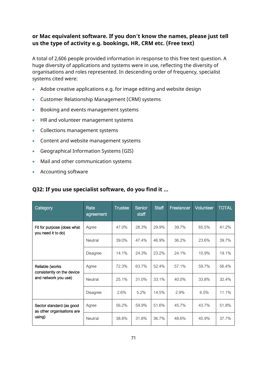## **or Mac equivalent software. If you don't know the names, please just tell us the type of activity e.g. bookings, HR, CRM etc. (Free text)**

A total of 2,606 people provided information in response to this free text question. A huge diversity of applications and systems were in use, reflecting the diversity of organisations and roles represented. In descending order of frequency, specialist systems cited were:

- Adobe creative applications e.g. for image editing and website design
- Customer Relationship Management (CRM) systems
- Booking and events management systems
- HR and volunteer management systems
- Collections management systems
- Content and website management systems
- Geographical Information Systems (GIS)
- Mail and other communication systems
- Accounting software

#### **Q32: If you use specialist software, do you find it ...**

| Category                                               | Rate<br>agreement | <b>Trustee</b> | Senior<br>staff | <b>Staff</b> | Freelancer | Volunteer | <b>TOTAL</b> |
|--------------------------------------------------------|-------------------|----------------|-----------------|--------------|------------|-----------|--------------|
| Fit for purpose (does what<br>you need it to do)       | Agree             | 47.0%          | 28.3%           | 29.9%        | 39.7%      | 65.5%     | 41.2%        |
|                                                        | Neutral           | 39.0%          | 47.4%           | 46.9%        | 36.2%      | 23.6%     | 39.7%        |
|                                                        | Disagree          | 14.1%          | 24.3%           | 23.2%        | 24.1%      | 10.9%     | 19.1%        |
| Reliable (works<br>consistently on the device          | Agree             | 72.3%          | 63.7%           | 52.4%        | 57.1%      | 59.7%     | 56.4%        |
| and network you use)                                   | Neutral           | 25.1%          | 31.0%           | 33.1%        | 40.0%      | 33.8%     | 32.4%        |
|                                                        | <b>Disagree</b>   | 2.6%           | 5.2%            | 14.5%        | 2.9%       | 6.5%      | 11.1%        |
| Sector standard (as good<br>as other organisations are | Agree             | 56.2%          | 59.9%           | 51.6%        | 45.7%      | 43.7%     | 51.8%        |
| using)                                                 | Neutral           | 38.8%          | 31.8%           | 36.7%        | 48.6%      | 45.9%     | 37.7%        |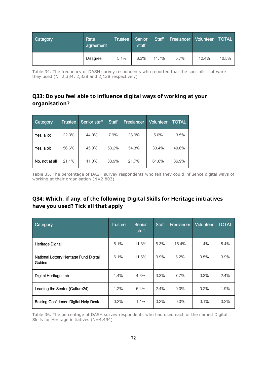| Category | Rate <sup>1</sup><br>agreement' | <b>Trustee</b> | Senior<br>staff | <b>Staff</b> | Freelancer | Volunteer | <b>TOTAL</b> |
|----------|---------------------------------|----------------|-----------------|--------------|------------|-----------|--------------|
|          | Disagree                        | 5.1%           | 8.3%            | 11.7%        | 5.7%       | 10.4%     | 10.5%        |

Table 34. The frequency of DASH survey respondents who reported that the specialist software they used (N=2,334, 2,338 and 2,128 respectively)

## **Q33: Do you feel able to influence digital ways of working at your organisation?**

| Category       | <b>Trustee</b> | Senior staff | <b>Staff</b><br>Freelancer |       | Volunteer | <b>TOTAL</b> |
|----------------|----------------|--------------|----------------------------|-------|-----------|--------------|
| Yes, a lot     | 22.3%          | 44.0%        | 7.9%                       | 23.9% | 5.0%      | 13.5%        |
| Yes, a bit     | 56.6%          | 45.0%        | 53.2%                      | 54.3% | 33.4%     | 49.6%        |
| No, not at all | 21.1%          | 11.0%        | 38.9%                      | 21.7% | 61.6%     | 36.9%        |

Table 35. The percentage of DASH survey respondents who felt they could influence digital ways of working at their organisation (N=2,803)

## **Q34: Which, if any, of the following Digital Skills for Heritage initiatives have you used? Tick all that apply**

| Category                                         | <b>Trustee</b> | Senior<br>staff | <b>Staff</b> | Freelancer | <b>Volunteer</b> | <b>TOTAL</b> |
|--------------------------------------------------|----------------|-----------------|--------------|------------|------------------|--------------|
| Heritage Digital                                 | 6.1%           | 11.3%           | 6.3%         | 15.4%      | 1.4%             | 5.4%         |
| National Lottery Heritage Fund Digital<br>Guides | 6.1%           | 11.6%           | 3.9%         | 6.2%       | 0.5%             | 3.9%         |
| Digital Heritage Lab                             | 1.4%           | 4.3%            | 3.3%         | 7.7%       | 0.3%             | 2.4%         |
| Leading the Sector (Culture24)                   | 1.2%           | 5.4%            | 2.4%         | $0.0\%$    | 0.2%             | 1.9%         |
| Raising Confidence Digital Help Desk             | 0.2%           | 1.1%            | 0.2%         | $0.0\%$    | 0.1%             | 0.2%         |

Table 36. The percentage of DASH survey respondents who had used each of the named Digital Skills for Heritage initiatives (N=4,494)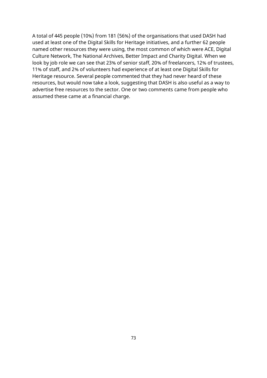A total of 445 people (10%) from 181 (56%) of the organisations that used DASH had used at least one of the Digital Skills for Heritage initiatives, and a further 62 people named other resources they were using, the most common of which were ACE, Digital Culture Network, The National Archives, Better Impact and Charity Digital. When we look by job role we can see that 23% of senior staff, 20% of freelancers, 12% of trustees, 11% of staff, and 2% of volunteers had experience of at least one Digital Skills for Heritage resource. Several people commented that they had never heard of these resources, but would now take a look, suggesting that DASH is also useful as a way to advertise free resources to the sector. One or two comments came from people who assumed these came at a financial charge.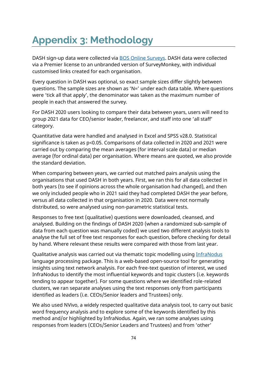## **Appendix 3: Methodology**

DASH sign-up data were collected via [BOS Online Surveys.](https://www.onlinesurveys.ac.uk/) DASH data were collected via a Premier license to an unbranded version of SurveyMonkey, with individual customised links created for each organisation.

Every question in DASH was optional, so exact sample sizes differ slightly between questions. The sample sizes are shown as 'N=' under each data table. Where questions were 'tick all that apply', the denominator was taken as the maximum number of people in each that answered the survey.

For DASH 2020 users looking to compare their data between years, users will need to group 2021 data for CEO/senior leader, freelancer, and staff into one 'all staff' category.

Quantitative data were handled and analysed in Excel and SPSS v28.0. Statistical significance is taken as p<0.05. Comparisons of data collected in 2020 and 2021 were carried out by comparing the mean averages (for interval scale data) or median average (for ordinal data) per organisation. Where means are quoted, we also provide the standard deviation.

When comparing between years, we carried out matched pairs analysis using the organisations that used DASH in both years. First, we ran this for all data collected in both years (to see if opinions across the whole organisation had changed), and then we only included people who in 2021 said they had completed DASH the year before, versus all data collected in that organisation in 2020. Data were not normally distributed, so were analysed using non-parametric statistical tests.

Responses to free text (qualitative) questions were downloaded, cleansed, and analysed. Building on the findings of DASH 2020 (when a randomized sub-sample of data from each question was manually coded) we used two different analysis tools to analyse the full set of free text responses for each question, before checking for detail by hand. Where relevant these results were compared with those from last year.

Qualitative analysis was carried out via thematic topic modelling using [InfraNodus](https://infranodus.com/) language processing package. This is a web-based open-source tool for generating insights using text network analysis. For each free-text question of interest, we used InfraNodus to identify the most influential keywords and topic clusters (i.e. keywords tending to appear together). For some questions where we identified role-related clusters, we ran separate analyses using the text responses only from participants identified as leaders (i.e. CEOs/Senior leaders and Trustees) only.

We also used NVivo, a widely respected qualitative data analysis tool, to carry out basic word frequency analysis and to explore some of the keywords identified by this method and/or highlighted by InfraNodus. Again, we ran some analyses using responses from leaders (CEOs/Senior Leaders and Trustees) and from 'other'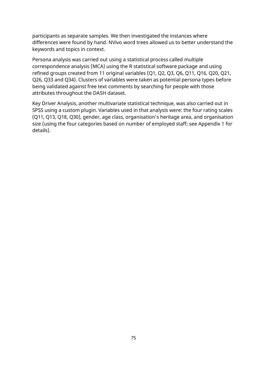participants as separate samples. We then investigated the instances where differences were found by hand. NVivo word trees allowed us to better understand the keywords and topics in context.

Persona analysis was carried out using a statistical process called multiple correspondence analysis (MCA) using the R statistical software package and using refined groups created from 11 original variables (Q1, Q2, Q3, Q6, Q11, Q16, Q20, Q21, Q26, Q33 and Q34). Clusters of variables were taken as potential persona types before being validated against free text comments by searching for people with those attributes throughout the DASH dataset.

Key Driver Analysis, another multivariate statistical technique, was also carried out in SPSS using a custom plugin. Variables used in that analysis were: the four rating scales (Q11, Q13, Q18, Q30), gender, age class, organisation's heritage area, and organisation size (using the four categories based on number of employed staff; see Appendix 1 for details).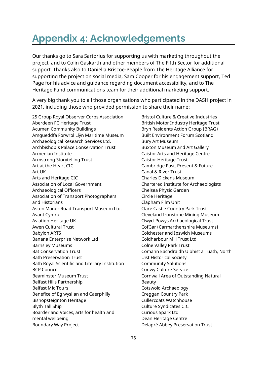## **Appendix 4: Acknowledgements**

Our thanks go to Sara Sartorius for supporting us with marketing throughout the project, and to Colin Gaskarth and other members of The Fifth Sector for additional support. Thanks also to Daniella Briscoe-Peaple from The Heritage Alliance for supporting the project on social media, Sam Cooper for his engagement support, Ted Page for his advice and guidance regarding document accessibility, and to The Heritage Fund communications team for their additional marketing support.

A very big thank you to all those organisations who participated in the DASH project in 2021, including those who provided permission to share their name:

25 Group Royal Observer Corps Association Aberdeen FC Heritage Trust Acumen Community Buildings Amgueddfa Forwrol Llŷn Maritime Museum Archaeological Research Services Ltd. Archbishop's Palace Conservation Trust Armenian Institute Armstrong Storytelling Trust Art at the Heart CIC Art UK Arts and Heritage CIC Association of Local Government Archaeological Officers Association of Transport Photographers and Historians Aston Manor Road Transport Museum Ltd. Avant Cymru Aviation Heritage UK Awen Cultural Trust Babylon ARTS Banana Enterprise Network Ltd Barnsley Museums Bat Conservation Trust Bath Preservation Trust Bath Royal Scientific and Literary Institution BCP Council Beaminster Museum Trust Belfast Hills Partnership Belfast Mic Tours Benefice of Eglwysilan and Caerphilly Bishopsteignton Heritage Blyth Tall Ship Boarderland Voices, arts for health and mental wellbeing Boundary Way Project

Bristol Culture & Creative Industries British Motor Industry Heritage Trust Bryn Residents Action Group (BRAG) Built Environment Forum Scotland Bury Art Museum Buxton Museum and Art Gallery Caistor Arts and Heritage Centre Caistor Heritage Trust Cambridge Past, Present & Future Canal & River Trust Charles Dickens Museum Chartered Institute for Archaeologists Chelsea Physic Garden Circle Heritage Clapham Film Unit Clare Castle Country Park Trust Cleveland Ironstone Mining Museum Clwyd-Powys Archaeological Trust CofGar (Carmarthenshire Museums) Colchester and Ipswich Museums Coldharbour Mill Trust Ltd Colne Valley Park Trust Comann Eachdraidh Uibhist a Tuath, North Uist Historical Society Community Solutions Conwy Culture Service Cornwall Area of Outstanding Natural Beauty Cotswold Archaeology Creggan Country Park Cullercoats Watchhouse Culture Syndicates CIC Curious Spark Ltd Dean Heritage Centre Delapré Abbey Preservation Trust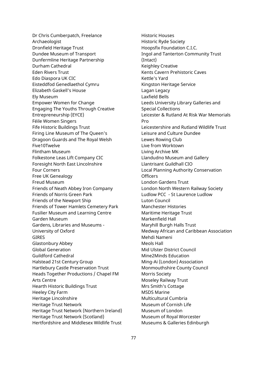Dr Chris Cumberpatch, Freelance Archaeologist Dronfield Heritage Trust Dundee Museum of Transport Dunfermline Heritage Partnership Durham Cathedral Eden Rivers Trust Edo Diaspora UK CIC Eisteddfod Genedlaethol Cymru Elizabeth Gaskell's House Ely Museum Empower Women for Change Engaging The Youths Through Creative Entrepreneurship (EYCE) Féile Women Singers Fife Historic Buildings Trust Firing Line Museum of The Queen's Dragoon Guards and The Royal Welsh Five10Twelve Flintham Museum Folkestone Leas Lift Company CIC Foresight North East Lincolnshire Four Corners Free UK Genealogy Freud Museum Friends of Neath Abbey Iron Company Friends of Norris Green Park Friends of the Newport Ship Friends of Tower Hamlets Cemetery Park Fusilier Museum and Learning Centre Garden Museum Gardens, Libraries and Museums - University of Oxford GIRES Glastonbury Abbey Global Generation Guildford Cathedral Halstead 21st Century Group Hartlebury Castle Preservation Trust Heads Together Productions / Chapel FM Arts Centre Hearth Historic Buildings Trust Heeley City Farm Heritage Lincolnshire Heritage Trust Network Heritage Trust Network (Northern Ireland) Heritage Trust Network (Scotland) Hertfordshire and Middlesex Wildlife Trust

Historic Houses Historic Ryde Society Hoopsfix Foundation C.I.C. Ingol and Tanterton Community Trust (Intact) Keighley Creative Kents Cavern Prehistoric Caves Kettle's Yard Kingston Heritage Service Lagan Legacy Laxfield Bells Leeds University Library Galleries and Special Collections Leicester & Rutland At Risk War Memorials Pro Leicestershire and Rutland Wildlife Trust Leisure and Culture Dundee Lewes Rowing Club Live from Worktown Living Archive MK Llandudno Museum and Gallery Llantrisant Guildhall CIO Local Planning Authority Conservation **Officers** London Gardens Trust London North Western Railway Society Ludlow PCC - St Laurence Ludlow Luton Council Manchester Histories Maritime Heritage Trust Markenfield Hall Maryhill Burgh Halls Trust Medway African and Caribbean Association Mehdi Nameni Meols Hall Mid Ulster District Council Mine2Minds Education Ming-Ai (London) Association Monmouthshire County Council Morris Society Moseley Railway Trust Mrs Smith's Cottage MSDS Marine Multicultural Cumbria Museum of Cornish Life Museum of London Museum of Royal Worcester Museums & Galleries Edinburgh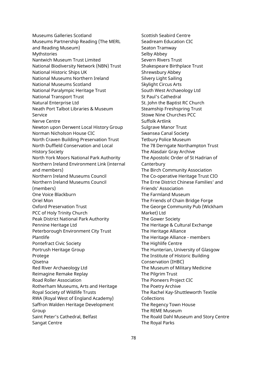Museums Galleries Scotland Museums Partnership Reading (The MERL and Reading Museum) Mythstories Nantwich Museum Trust Limited National Biodiversity Network (NBN) Trust National Historic Ships UK National Museums Northern Ireland National Museums Scotland National Paralympic Heritage Trust National Transport Trust Natural Enterprise Ltd Neath Port Talbot Libraries & Museum Service Nerve Centre Newton upon Derwent Local History Group Norman Nicholson House CIC North Craven Building Preservation Trust North Duffield Conservation and Local History Society North York Moors National Park Authority Northern Ireland Environment Link (internal and members) Northern Ireland Museums Council Northern Ireland Museums Council (members) One Voice Blackburn Oriel Mon Oxford Preservation Trust PCC of Holy Trinity Church Peak District National Park Authority Pennine Heritage Ltd Peterborough Environment City Trust Plantlife Pontefract Civic Society Portrush Heritage Group Protege Qisetna Red River Archaeology Ltd Reimagine Remake Replay Road Roller Association Rotherham Museums, Arts and Heritage Royal Society of Wildlife Trusts RWA (Royal West of England Academy) Saffron Walden Heritage Development Group Saint Peter's Cathedral, Belfast Sangat Centre

Scottish Seabird Centre Seadream Education CIC Seaton Tramway Selby Abbey Severn Rivers Trust Shakespeare Birthplace Trust Shrewsbury Abbey Silvery Light Sailing Skylight Circus Arts South West Archaeology Ltd St Paul's Cathedral St. John the Baptist RC Church Steamship Freshspring Trust Stowe Nine Churches PCC Suffolk Artlink Sulgrave Manor Trust Swansea Canal Society Tetbury Police Museum The 78 Derngate Northampton Trust The Alasdair Gray Archive The Apostolic Order of St Hadrian of **Canterbury** The Birch Community Association The Co-operative Heritage Trust CIO The Erne District Chinese Families' and Friends' Association The Farmland Museum The Friends of Chain Bridge Forge The George Community Pub (Wickham Market) Ltd The Gower Society The Heritage & Cultural Exchange The Heritage Alliance The Heritage Alliance - members The Highlife Centre The Hunterian, University of Glasgow The Institute of Historic Building Conservation (IHBC) The Museum of Military Medicine The Pilgrim Trust The Pioneers Project CIC The Poetry Archive The Rachel Kay-Shuttleworth Textile Collections The Regency Town House The REME Museum The Roald Dahl Museum and Story Centre The Royal Parks